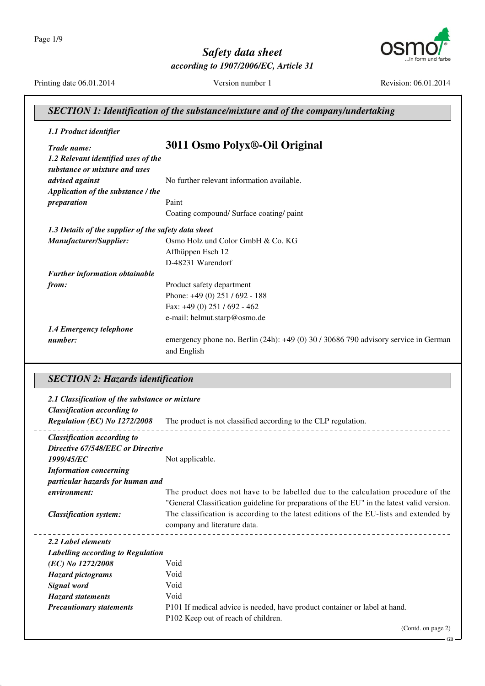Page 1/9



*Safety data sheet according to 1907/2006/EC, Article 31*

Printing date 06.01.2014 Version number 1 Revision: 06.01.2014

GB

| 1.1 Product identifier                               |                                                                                     |
|------------------------------------------------------|-------------------------------------------------------------------------------------|
| Trade name:                                          | 3011 Osmo Polyx®-Oil Original                                                       |
| 1.2 Relevant identified uses of the                  |                                                                                     |
| substance or mixture and uses                        |                                                                                     |
| advised against                                      | No further relevant information available.                                          |
| Application of the substance / the                   |                                                                                     |
| preparation                                          | Paint                                                                               |
|                                                      | Coating compound/ Surface coating/ paint                                            |
| 1.3 Details of the supplier of the safety data sheet |                                                                                     |
| Manufacturer/Supplier:                               | Osmo Holz und Color GmbH & Co. KG                                                   |
|                                                      | Affhüppen Esch 12                                                                   |
|                                                      | D-48231 Warendorf                                                                   |
| <b>Further information obtainable</b>                |                                                                                     |
| from:                                                | Product safety department                                                           |
|                                                      | Phone: $+49(0)$ 251 / 692 - 188                                                     |
|                                                      | Fax: +49 (0) 251 / 692 - 462                                                        |
|                                                      | e-mail: helmut.starp@osmo.de                                                        |
| 1.4 Emergency telephone                              |                                                                                     |
| number:                                              | emergency phone no. Berlin (24h): +49 (0) 30 / 30686 790 advisory service in German |
|                                                      | and English                                                                         |

### *SECTION 2: Hazards identification*

| 2.1 Classification of the substance or mixture<br><b>Classification according to</b> |                                                                                            |
|--------------------------------------------------------------------------------------|--------------------------------------------------------------------------------------------|
| Regulation (EC) No 1272/2008                                                         | The product is not classified according to the CLP regulation.                             |
| <b>Classification according to</b>                                                   |                                                                                            |
| Directive 67/548/EEC or Directive                                                    |                                                                                            |
| 1999/45/EC                                                                           | Not applicable.                                                                            |
| <b>Information concerning</b>                                                        |                                                                                            |
| particular hazards for human and                                                     |                                                                                            |
| environment:                                                                         | The product does not have to be labelled due to the calculation procedure of the           |
|                                                                                      | "General Classification guideline for preparations of the EU" in the latest valid version. |
| <b>Classification system:</b>                                                        | The classification is according to the latest editions of the EU-lists and extended by     |
|                                                                                      | company and literature data.                                                               |
| 2.2 Label elements                                                                   |                                                                                            |
| Labelling according to Regulation                                                    |                                                                                            |
| (EC) No 1272/2008                                                                    | Void                                                                                       |
| <b>Hazard</b> pictograms                                                             | Void                                                                                       |
| Signal word                                                                          | Void                                                                                       |
| <b>Hazard statements</b>                                                             | Void                                                                                       |
| <b>Precautionary statements</b>                                                      | P101 If medical advice is needed, have product container or label at hand.                 |
|                                                                                      | P102 Keep out of reach of children.                                                        |
|                                                                                      | (Contd. on page 2)                                                                         |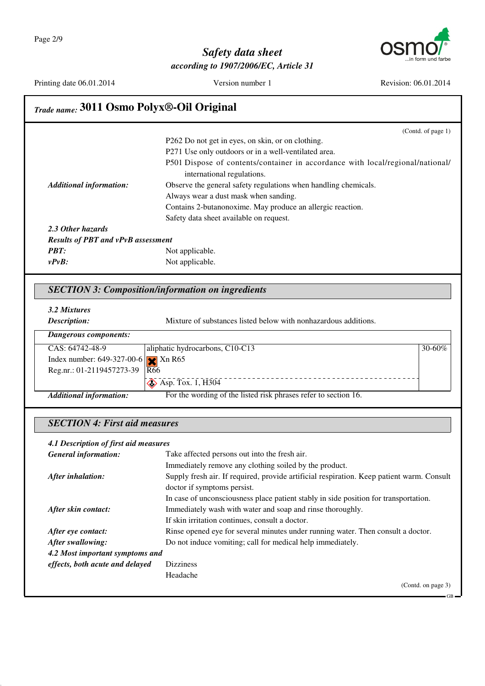

Printing date 06.01.2014 Version number 1 Revision: 06.01.2014

|                                                                    | (Contd. of page 1)                                                                        |
|--------------------------------------------------------------------|-------------------------------------------------------------------------------------------|
|                                                                    | P262 Do not get in eyes, on skin, or on clothing.                                         |
|                                                                    | P271 Use only outdoors or in a well-ventilated area.                                      |
|                                                                    | P501 Dispose of contents/container in accordance with local/regional/national/            |
|                                                                    | international regulations.                                                                |
| <b>Additional information:</b>                                     | Observe the general safety regulations when handling chemicals.                           |
|                                                                    | Always wear a dust mask when sanding.                                                     |
|                                                                    | Contains 2-butanonoxime. May produce an allergic reaction.                                |
|                                                                    | Safety data sheet available on request.                                                   |
| 2.3 Other hazards                                                  |                                                                                           |
| <b>Results of PBT and vPvB assessment</b>                          |                                                                                           |
| <b>PBT:</b>                                                        | Not applicable.                                                                           |
| $vPvB$ :                                                           | Not applicable.                                                                           |
|                                                                    | <b>SECTION 3: Composition/information on ingredients</b>                                  |
| 3.2 Mixtures                                                       |                                                                                           |
| Description:                                                       | Mixture of substances listed below with nonhazardous additions.                           |
| <b>Dangerous components:</b>                                       |                                                                                           |
| CAS: 64742-48-9                                                    | aliphatic hydrocarbons, C10-C13<br>30-60%                                                 |
|                                                                    |                                                                                           |
| Index number: $649-327-00-6$ $Xn R65$<br>Reg.nr.: 01-2119457273-39 | <b>R66</b>                                                                                |
|                                                                    |                                                                                           |
|                                                                    | $\diamond$ Asp. Tox. 1, H304                                                              |
| <b>Additional information:</b>                                     | For the wording of the listed risk phrases refer to section 16.                           |
| <b>SECTION 4: First aid measures</b>                               |                                                                                           |
| 4.1 Description of first aid measures                              |                                                                                           |
| <b>General information:</b>                                        | Take affected persons out into the fresh air.                                             |
|                                                                    | Immediately remove any clothing soiled by the product.                                    |
| After inhalation:                                                  | Supply fresh air. If required, provide artificial respiration. Keep patient warm. Consult |
|                                                                    | doctor if symptoms persist.                                                               |
|                                                                    | In case of unconsciousness place patient stably in side position for transportation.      |
| After skin contact:                                                | Immediately wash with water and soap and rinse thoroughly.                                |
|                                                                    | If skin irritation continues, consult a doctor.                                           |
|                                                                    |                                                                                           |
|                                                                    |                                                                                           |
| After eye contact:                                                 | Rinse opened eye for several minutes under running water. Then consult a doctor.          |
|                                                                    | Do not induce vomiting; call for medical help immediately.                                |
| After swallowing:<br>4.2 Most important symptoms and               | <b>Dizziness</b>                                                                          |
| effects, both acute and delayed                                    | Headache                                                                                  |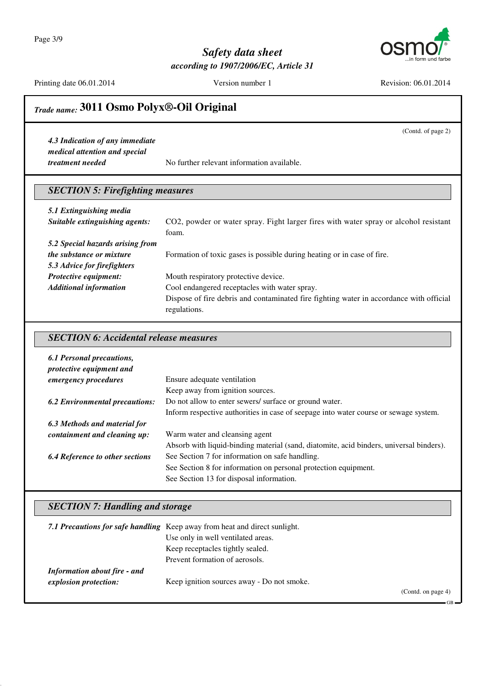Page 3/9



## *Safety data sheet according to 1907/2006/EC, Article 31*

Printing date 06.01.2014 Version number 1 Revision: 06.01.2014

(Contd. of page 2)

# *Trade name:* **3011 Osmo Polyx®-Oil Original**

*4.3 Indication of any immediate medical attention and special*

*treatment needed* No further relevant information available.

## *SECTION 5: Firefighting measures*

| 5.1 Extinguishing media          |                                                                                         |
|----------------------------------|-----------------------------------------------------------------------------------------|
| Suitable extinguishing agents:   | CO2, powder or water spray. Fight larger fires with water spray or alcohol resistant    |
|                                  | foam.                                                                                   |
| 5.2 Special hazards arising from |                                                                                         |
| <i>the substance or mixture</i>  | Formation of toxic gases is possible during heating or in case of fire.                 |
| 5.3 Advice for firefighters      |                                                                                         |
| Protective equipment:            | Mouth respiratory protective device.                                                    |
| <b>Additional information</b>    | Cool endangered receptacles with water spray.                                           |
|                                  | Dispose of fire debris and contaminated fire fighting water in accordance with official |
|                                  | regulations.                                                                            |

#### *SECTION 6: Accidental release measures*

| 6.1 Personal precautions,<br>protective equipment and |                                                                                         |
|-------------------------------------------------------|-----------------------------------------------------------------------------------------|
| emergency procedures                                  | Ensure adequate ventilation                                                             |
|                                                       | Keep away from ignition sources.                                                        |
| <b>6.2 Environmental precautions:</b>                 | Do not allow to enter sewers/ surface or ground water.                                  |
|                                                       | Inform respective authorities in case of seepage into water course or sewage system.    |
| 6.3 Methods and material for                          |                                                                                         |
| containment and cleaning up:                          | Warm water and cleansing agent                                                          |
|                                                       | Absorb with liquid-binding material (sand, diatomite, acid binders, universal binders). |
| <b>6.4 Reference to other sections</b>                | See Section 7 for information on safe handling.                                         |
|                                                       | See Section 8 for information on personal protection equipment.                         |
|                                                       | See Section 13 for disposal information.                                                |

## *SECTION 7: Handling and storage*

|                              | 7.1 Precautions for safe handling Keep away from heat and direct sunlight. |                   |
|------------------------------|----------------------------------------------------------------------------|-------------------|
|                              | Use only in well ventilated areas.                                         |                   |
|                              | Keep receptacles tightly sealed.                                           |                   |
|                              | Prevent formation of aerosols.                                             |                   |
| Information about fire - and |                                                                            |                   |
| explosion protection:        | Keep ignition sources away - Do not smoke.                                 |                   |
|                              |                                                                            | (Cond. on page 4) |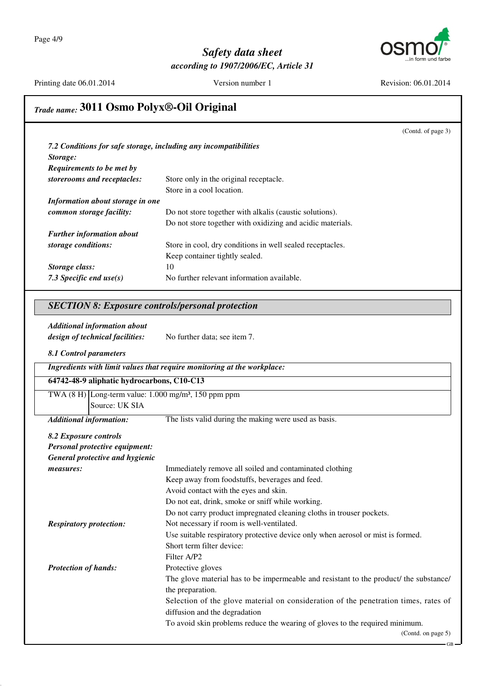

Printing date 06.01.2014 Version number 1 Revision: 06.01.2014

(Contd. of page 3)

# *Trade name:* **3011 Osmo Polyx®-Oil Original**

| Storage:                         | 7.2 Conditions for safe storage, including any incompatibilities |
|----------------------------------|------------------------------------------------------------------|
| <b>Requirements to be met by</b> |                                                                  |
| storerooms and receptacles:      | Store only in the original receptacle.                           |
|                                  | Store in a cool location.                                        |
| Information about storage in one |                                                                  |
| common storage facility:         | Do not store together with alkalis (caustic solutions).          |
|                                  | Do not store together with oxidizing and acidic materials.       |
| <b>Further information about</b> |                                                                  |
| storage conditions:              | Store in cool, dry conditions in well sealed receptacles.        |
|                                  | Keep container tightly sealed.                                   |
| Storage class:                   | 10                                                               |
| 7.3 Specific end $use(s)$        | No further relevant information available.                       |

#### *SECTION 8: Exposure controls/personal protection*

*Additional information about*

*design of technical facilities:* No further data; see item 7.

#### *8.1 Control parameters*

|                                                                            | Ingredients with limit values that require monitoring at the workplace:               |
|----------------------------------------------------------------------------|---------------------------------------------------------------------------------------|
| 64742-48-9 aliphatic hydrocarbons, C10-C13                                 |                                                                                       |
| TWA $(8 \text{ H})$ Long-term value: 1.000 mg/m <sup>3</sup> , 150 ppm ppm |                                                                                       |
| Source: UK SIA                                                             |                                                                                       |
| <b>Additional information:</b>                                             | The lists valid during the making were used as basis.                                 |
| 8.2 Exposure controls                                                      |                                                                                       |
| Personal protective equipment:                                             |                                                                                       |
| General protective and hygienic                                            |                                                                                       |
| measures:                                                                  | Immediately remove all soiled and contaminated clothing                               |
|                                                                            | Keep away from foodstuffs, beverages and feed.                                        |
|                                                                            | Avoid contact with the eyes and skin.                                                 |
|                                                                            | Do not eat, drink, smoke or sniff while working.                                      |
|                                                                            | Do not carry product impregnated cleaning cloths in trouser pockets.                  |
| <b>Respiratory protection:</b>                                             | Not necessary if room is well-ventilated.                                             |
|                                                                            | Use suitable respiratory protective device only when aerosol or mist is formed.       |
|                                                                            | Short term filter device:                                                             |
|                                                                            | Filter A/P2                                                                           |
| <b>Protection of hands:</b>                                                | Protective gloves                                                                     |
|                                                                            | The glove material has to be impermeable and resistant to the product/ the substance/ |
|                                                                            | the preparation.                                                                      |
|                                                                            | Selection of the glove material on consideration of the penetration times, rates of   |
|                                                                            | diffusion and the degradation                                                         |
|                                                                            | To avoid skin problems reduce the wearing of gloves to the required minimum.          |
|                                                                            | (Contd. on page 5)                                                                    |
|                                                                            |                                                                                       |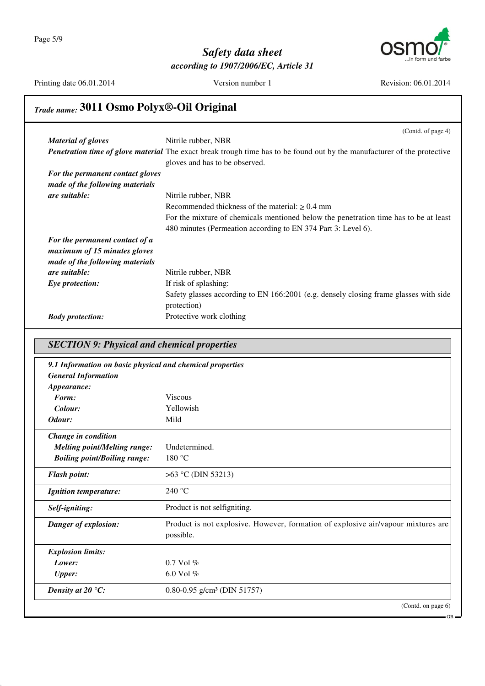

Printing date 06.01.2014 Version number 1 Revision: 06.01.2014

# *Trade name:* **3011 Osmo Polyx®-Oil Original**

|                                  | (Contd. of page 4)                                                                                                              |
|----------------------------------|---------------------------------------------------------------------------------------------------------------------------------|
| <b>Material of gloves</b>        | Nitrile rubber, NBR                                                                                                             |
|                                  | <b>Penetration time of glove material</b> The exact break trough time has to be found out by the manufacturer of the protective |
|                                  | gloves and has to be observed.                                                                                                  |
| For the permanent contact gloves |                                                                                                                                 |
| made of the following materials  |                                                                                                                                 |
| <i>are suitable:</i>             | Nitrile rubber, NBR                                                                                                             |
|                                  | Recommended thickness of the material: $> 0.4$ mm                                                                               |
|                                  | For the mixture of chemicals mentioned below the penetration time has to be at least                                            |
|                                  | 480 minutes (Permeation according to EN 374 Part 3: Level 6).                                                                   |
| For the permanent contact of a   |                                                                                                                                 |
| maximum of 15 minutes gloves     |                                                                                                                                 |
| made of the following materials  |                                                                                                                                 |
| are suitable:                    | Nitrile rubber, NBR                                                                                                             |
| Eye protection:                  | If risk of splashing:                                                                                                           |
|                                  | Safety glasses according to EN 166:2001 (e.g. densely closing frame glasses with side                                           |
|                                  | protection)                                                                                                                     |
| <b>Body protection:</b>          | Protective work clothing                                                                                                        |

# *SECTION 9: Physical and chemical properties 9.1 Information on basic physical and chemical properties General Information Appearance: Form:* Viscous *Colour:* Yellowish *Odour:* Mild *Change in condition Melting point/Melting range:* Undetermined. *Boiling point/Boiling range:* 180 °C *Flash point:*  $>63 °C$  (DIN 53213) *Ignition temperature:* 240 °C **Self-igniting:** Product is not selfigniting. *Danger of explosion:* Product is not explosive. However, formation of explosive air/vapour mixtures are possible. *Explosion limits: Lower:* 0.7 Vol % *Upper:* 6.0 Vol % *Density at 20 °C:* 0.80-0.95 g/cm<sup>3</sup> (DIN 51757)

(Contd. on page 6)

GB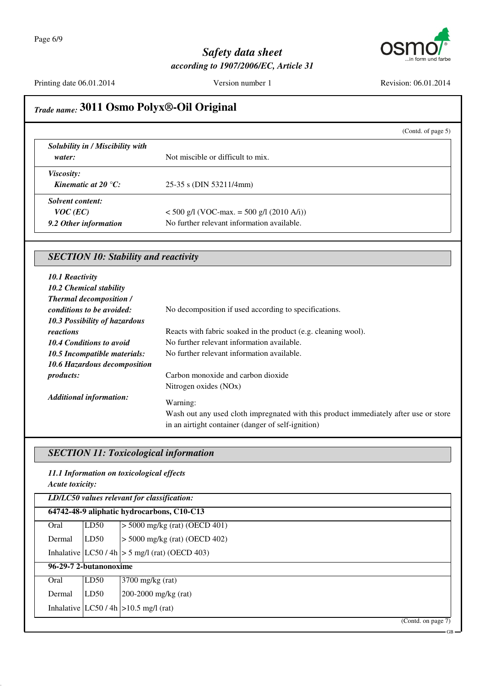

Printing date 06.01.2014 Version number 1 Revision: 06.01.2014

# *Trade name:* **3011 Osmo Polyx®-Oil Original**

|                                                                |                                                                                           | (Contd. of page $5$ ) |
|----------------------------------------------------------------|-------------------------------------------------------------------------------------------|-----------------------|
| Solubility in / Miscibility with<br>water:                     | Not miscible or difficult to mix.                                                         |                       |
| <i>Viscosity:</i><br>Kinematic at 20 $\mathrm{^{\circ}C:}$     | 25-35 s (DIN 53211/4mm)                                                                   |                       |
| <b>Solvent content:</b><br>$VOC$ (EC)<br>9.2 Other information | $<$ 500 g/l (VOC-max. = 500 g/l (2010 A/i))<br>No further relevant information available. |                       |

### *SECTION 10: Stability and reactivity*

| 10.1 Reactivity                |                                                                                      |
|--------------------------------|--------------------------------------------------------------------------------------|
| 10.2 Chemical stability        |                                                                                      |
| <b>Thermal decomposition /</b> |                                                                                      |
| conditions to be avoided:      | No decomposition if used according to specifications.                                |
| 10.3 Possibility of hazardous  |                                                                                      |
| reactions                      | Reacts with fabric soaked in the product (e.g. cleaning wool).                       |
| 10.4 Conditions to avoid       | No further relevant information available.                                           |
| 10.5 Incompatible materials:   | No further relevant information available.                                           |
| 10.6 Hazardous decomposition   |                                                                                      |
| <i>products:</i>               | Carbon monoxide and carbon dioxide                                                   |
|                                | Nitrogen oxides (NO <sub>x</sub> )                                                   |
| <b>Additional information:</b> | Warning:                                                                             |
|                                | Wash out any used cloth impregnated with this product immediately after use or store |
|                                | in an airtight container (danger of self-ignition)                                   |

### *SECTION 11: Toxicological information*

#### *11.1 Information on toxicological effects Acute toxicity:*

|        | LD/LC50 values relevant for classification: |                                                  |  |
|--------|---------------------------------------------|--------------------------------------------------|--|
|        | 64742-48-9 aliphatic hydrocarbons, C10-C13  |                                                  |  |
| Oral   | LD50                                        | $>$ 5000 mg/kg (rat) (OECD 401)                  |  |
| Dermal | LD50                                        | $> 5000$ mg/kg (rat) (OECD 402)                  |  |
|        |                                             | Inhalative $ LC50/4h  > 5$ mg/l (rat) (OECD 403) |  |
|        | 96-29-7 2-butanonoxime                      |                                                  |  |
| Oral   | LD50                                        | $3700$ mg/kg (rat)                               |  |
| Dermal | LD50                                        | 200-2000 mg/kg $(rat)$                           |  |
|        |                                             | Inhalative $ LC50/4h  > 10.5$ mg/l (rat)         |  |
|        |                                             | (Contd. on page 7)                               |  |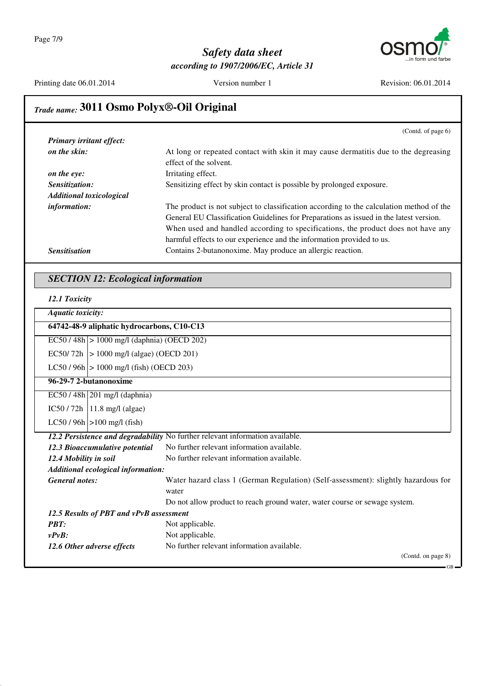

Printing date 06.01.2014 Version number 1 Revision: 06.01.2014

GB

# *Trade name:* **3011 Osmo Polyx®-Oil Original**

|                                 | (Contd. of page $6$ )                                                                   |
|---------------------------------|-----------------------------------------------------------------------------------------|
| <b>Primary irritant effect:</b> |                                                                                         |
| on the skin:                    | At long or repeated contact with skin it may cause dermatitis due to the degreasing     |
|                                 | effect of the solvent.                                                                  |
| on the eye:                     | Irritating effect.                                                                      |
| <i>Sensitization:</i>           | Sensitizing effect by skin contact is possible by prolonged exposure.                   |
| <b>Additional toxicological</b> |                                                                                         |
| information:                    | The product is not subject to classification according to the calculation method of the |
|                                 | General EU Classification Guidelines for Preparations as issued in the latest version.  |
|                                 | When used and handled according to specifications, the product does not have any        |
|                                 | harmful effects to our experience and the information provided to us.                   |
| <b>Sensitisation</b>            | Contains 2-butanonoxime. May produce an allergic reaction.                              |

### *SECTION 12: Ecological information*

| 12.1 Toxicity                                                                 |                                                                                    |  |
|-------------------------------------------------------------------------------|------------------------------------------------------------------------------------|--|
| <b>Aquatic toxicity:</b>                                                      |                                                                                    |  |
| 64742-48-9 aliphatic hydrocarbons, C10-C13                                    |                                                                                    |  |
| $ ECS0/48h  > 1000$ mg/l (daphnia) (OECD 202)                                 |                                                                                    |  |
| EC50/72h   > 1000 mg/l (algae) (OECD 201)                                     |                                                                                    |  |
| LC50 / 96h   > 1000 mg/l (fish) (OECD 203)                                    |                                                                                    |  |
| 96-29-7 2-butanonoxime                                                        |                                                                                    |  |
| $EC50/48h$ 201 mg/l (daphnia)                                                 |                                                                                    |  |
| $IC50 / 72h$   11.8 mg/l (algae)                                              |                                                                                    |  |
| $LC50 / 96h$ $>100$ mg/l (fish)                                               |                                                                                    |  |
| 12.2 Persistence and degradability No further relevant information available. |                                                                                    |  |
| 12.3 Bioaccumulative potential                                                | No further relevant information available.                                         |  |
| 12.4 Mobility in soil                                                         | No further relevant information available.                                         |  |
| Additional ecological information:                                            |                                                                                    |  |
| <b>General</b> notes:                                                         | Water hazard class 1 (German Regulation) (Self-assessment): slightly hazardous for |  |
|                                                                               | water                                                                              |  |
|                                                                               | Do not allow product to reach ground water, water course or sewage system.         |  |
| 12.5 Results of PBT and vPvB assessment                                       |                                                                                    |  |
| <b>PBT:</b>                                                                   | Not applicable.                                                                    |  |
| $v P v B$ :                                                                   | Not applicable.                                                                    |  |
| 12.6 Other adverse effects                                                    | No further relevant information available.                                         |  |
|                                                                               | (Cond. on page 8)                                                                  |  |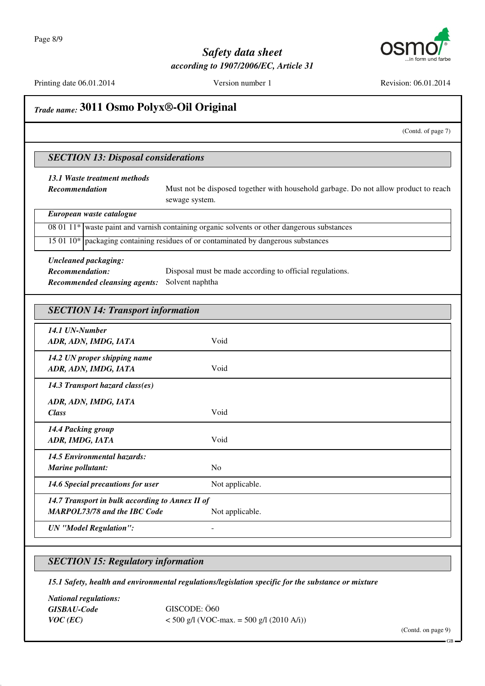

Printing date 06.01.2014 Version number 1 Revision: 06.01.2014

# *Trade name:* **3011 Osmo Polyx®-Oil Original** (Contd. of page 7) *SECTION 13: Disposal considerations 13.1 Waste treatment methods* **Recommendation** Must not be disposed together with household garbage. Do not allow product to reach sewage system. *European waste catalogue* 08 01 11\* waste paint and varnish containing organic solvents or other dangerous substances 15 01 10\* packaging containing residues of or contaminated by dangerous substances *Uncleaned packaging: Recommendation:* Disposal must be made according to official regulations. *Recommended cleansing agents:* Solvent naphtha *SECTION 14: Transport information 14.1 UN-Number ADR, ADN, IMDG, IATA* Void *14.2 UN proper shipping name ADR, ADN, IMDG, IATA* Void *14.3 Transport hazard class(es) ADR, ADN, IMDG, IATA Class* Void *14.4 Packing group ADR, IMDG, IATA* Void *14.5 Environmental hazards: Marine pollutant:* No 14.6 Special precautions for user Not applicable. *14.7 Transport in bulk according to Annex II of MARPOL73/78 and the IBC Code* Not applicable. *UN "Model Regulation":* -

#### *SECTION 15: Regulatory information*

*15.1 Safety, health and environmental regulations/legislation specific for the substance or mixture*

| <i>National regulations:</i> |                                             |  |
|------------------------------|---------------------------------------------|--|
| <b>GISBAU-Code</b>           | GISCODE: 060                                |  |
| $VOC$ (EC)                   | $<$ 500 g/l (VOC-max. = 500 g/l (2010 A/i)) |  |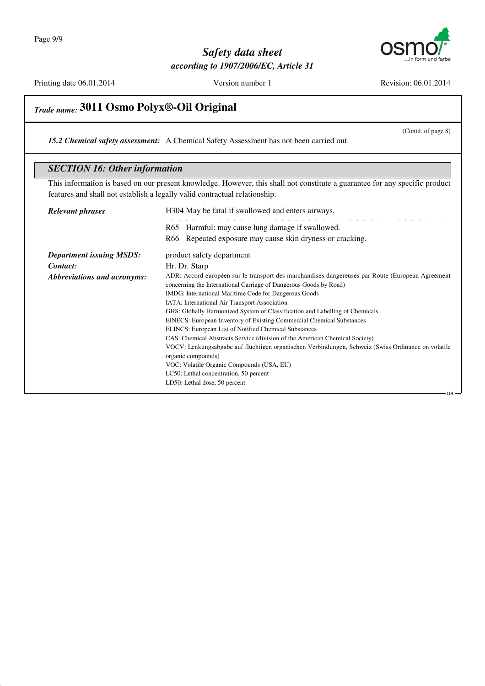

Printing date 06.01.2014 Version number 1 Revision: 06.01.2014

(Contd. of page 8)

# *Trade name:* **3011 Osmo Polyx®-Oil Original**

*15.2 Chemical safety assessment:* A Chemical Safety Assessment has not been carried out.

| <b>SECTION 16: Other information</b> |                                                                                                                                                                       |
|--------------------------------------|-----------------------------------------------------------------------------------------------------------------------------------------------------------------------|
|                                      | This information is based on our present knowledge. However, this shall not constitute a guarantee for any specific product                                           |
|                                      | features and shall not establish a legally valid contractual relationship.                                                                                            |
| <b>Relevant phrases</b>              | H304 May be fatal if swallowed and enters airways.                                                                                                                    |
|                                      | R65 Harmful: may cause lung damage if swallowed.                                                                                                                      |
|                                      | Repeated exposure may cause skin dryness or cracking.<br>R66.                                                                                                         |
| <b>Department issuing MSDS:</b>      | product safety department                                                                                                                                             |
| Contact:                             | Hr. Dr. Starp                                                                                                                                                         |
| <b>Abbreviations and acronyms:</b>   | ADR: Accord européen sur le transport des marchandises dangereuses par Route (European Agreement<br>concerning the International Carriage of Dangerous Goods by Road) |
|                                      | IMDG: International Maritime Code for Dangerous Goods                                                                                                                 |
|                                      | IATA: International Air Transport Association                                                                                                                         |
|                                      | GHS: Globally Harmonized System of Classification and Labelling of Chemicals                                                                                          |
|                                      | EINECS: European Inventory of Existing Commercial Chemical Substances                                                                                                 |
|                                      | ELINCS: European List of Notified Chemical Substances                                                                                                                 |
|                                      | CAS: Chemical Abstracts Service (division of the American Chemical Society)                                                                                           |
|                                      | VOCV: Lenkungsabgabe auf flüchtigen organischen Verbindungen, Schweiz (Swiss Ordinance on volatile<br>organic compounds)                                              |
|                                      | VOC: Volatile Organic Compounds (USA, EU)                                                                                                                             |
|                                      | LC50: Lethal concentration, 50 percent                                                                                                                                |
|                                      | LD50: Lethal dose, 50 percent                                                                                                                                         |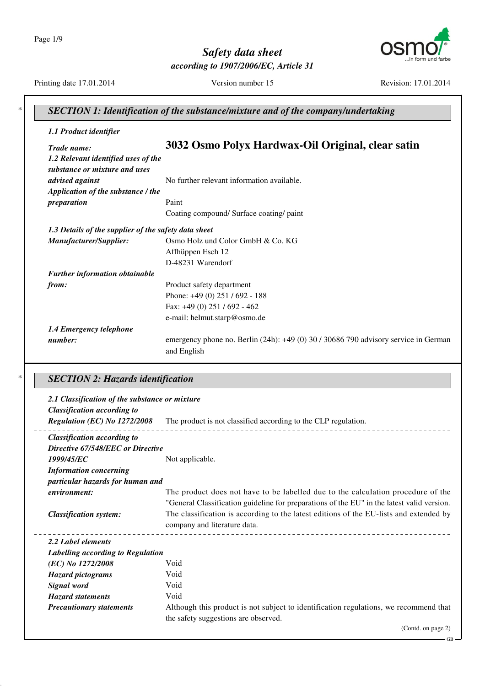Page 1/9



*according to 1907/2006/EC, Article 31*

OS in form und farbe

Printing date 17.01.2014 Version number 15 Revision: 17.01.2014

GB

| 1.1 Product identifier                                               |                                                                                                    |
|----------------------------------------------------------------------|----------------------------------------------------------------------------------------------------|
| Trade name:                                                          | 3032 Osmo Polyx Hardwax-Oil Original, clear satin                                                  |
| 1.2 Relevant identified uses of the<br>substance or mixture and uses |                                                                                                    |
| advised against                                                      | No further relevant information available.                                                         |
| Application of the substance / the                                   |                                                                                                    |
| preparation                                                          | Paint                                                                                              |
|                                                                      | Coating compound/ Surface coating/ paint                                                           |
| 1.3 Details of the supplier of the safety data sheet                 |                                                                                                    |
| Manufacturer/Supplier:                                               | Osmo Holz und Color GmbH & Co. KG                                                                  |
|                                                                      | Affhüppen Esch 12                                                                                  |
|                                                                      | D-48231 Warendorf                                                                                  |
| Further information obtainable                                       |                                                                                                    |
| from:                                                                | Product safety department                                                                          |
|                                                                      | Phone: $+49(0)$ 251 / 692 - 188                                                                    |
|                                                                      | Fax: +49 (0) 251 / 692 - 462                                                                       |
|                                                                      | e-mail: helmut.starp@osmo.de                                                                       |
| 1.4 Emergency telephone                                              |                                                                                                    |
| number:                                                              | emergency phone no. Berlin (24h): +49 (0) 30 / 30686 790 advisory service in German<br>and English |

### \* *SECTION 2: Hazards identification*

| 2.1 Classification of the substance or mixture<br><b>Classification according to</b><br>Regulation (EC) No 1272/2008 | The product is not classified according to the CLP regulation.                                                         |
|----------------------------------------------------------------------------------------------------------------------|------------------------------------------------------------------------------------------------------------------------|
| <b>Classification according to</b>                                                                                   |                                                                                                                        |
| Directive 67/548/EEC or Directive                                                                                    |                                                                                                                        |
| 1999/45/EC                                                                                                           | Not applicable.                                                                                                        |
| <b>Information concerning</b>                                                                                        |                                                                                                                        |
| particular hazards for human and                                                                                     |                                                                                                                        |
| environment:                                                                                                         | The product does not have to be labelled due to the calculation procedure of the                                       |
|                                                                                                                      | "General Classification guideline for preparations of the EU" in the latest valid version.                             |
| <b>Classification system:</b>                                                                                        | The classification is according to the latest editions of the EU-lists and extended by<br>company and literature data. |
| 2.2 Label elements                                                                                                   |                                                                                                                        |
| Labelling according to Regulation                                                                                    |                                                                                                                        |
| (EC) No 1272/2008                                                                                                    | Void                                                                                                                   |
| <b>Hazard pictograms</b>                                                                                             | Void                                                                                                                   |
| Signal word                                                                                                          | Void                                                                                                                   |
| <b>Hazard statements</b>                                                                                             | Void                                                                                                                   |
| <b>Precautionary statements</b>                                                                                      | Although this product is not subject to identification regulations, we recommend that                                  |
|                                                                                                                      | the safety suggestions are observed.                                                                                   |
|                                                                                                                      | (Contd. on page 2)                                                                                                     |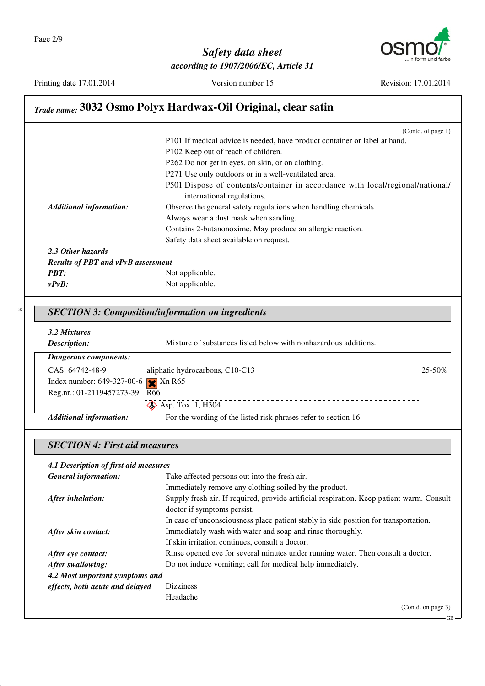Printing date 17.01.2014 Version number 15 Revision: 17.01.2014

# *Trade name:* **3032 Osmo Polyx Hardwax-Oil Original, clear satin**

|                                           | (Contd. of page $1$ )                                                                                        |
|-------------------------------------------|--------------------------------------------------------------------------------------------------------------|
|                                           | P101 If medical advice is needed, have product container or label at hand.                                   |
|                                           | P102 Keep out of reach of children.                                                                          |
|                                           | P262 Do not get in eyes, on skin, or on clothing.                                                            |
|                                           | P271 Use only outdoors or in a well-ventilated area.                                                         |
|                                           | P501 Dispose of contents/container in accordance with local/regional/national/<br>international regulations. |
| <b>Additional information:</b>            | Observe the general safety regulations when handling chemicals.                                              |
|                                           | Always wear a dust mask when sanding.                                                                        |
|                                           | Contains 2-butanonoxime. May produce an allergic reaction.                                                   |
|                                           | Safety data sheet available on request.                                                                      |
| 2.3 Other hazards                         |                                                                                                              |
| <b>Results of PBT and vPvB assessment</b> |                                                                                                              |
| <b>PBT:</b>                               | Not applicable.                                                                                              |
| $v P v B$ :                               | Not applicable.                                                                                              |

### \* *SECTION 3: Composition/information on ingredients*

#### *3.2 Mixtures*

| Description:                               | Mixture of substances listed below with nonhazardous additions. |             |
|--------------------------------------------|-----------------------------------------------------------------|-------------|
| Dangerous components:                      |                                                                 |             |
| CAS: 64742-48-9                            | aliphatic hydrocarbons, C10-C13                                 | $25 - 50\%$ |
| Index number: $649-327-00-6$ $\chi$ Xn R65 |                                                                 |             |
| Reg.nr.: 01-2119457273-39 $\sqrt{R66}$     |                                                                 |             |
|                                            | $\diamond$ Asp. Tox. 1, H304                                    |             |
| <b>Additional information:</b>             | For the wording of the listed risk phrases refer to section 16. |             |

### *SECTION 4: First aid measures*

| 4.1 Description of first aid measures |                                                                                           |
|---------------------------------------|-------------------------------------------------------------------------------------------|
| <b>General information:</b>           | Take affected persons out into the fresh air.                                             |
|                                       | Immediately remove any clothing soiled by the product.                                    |
| After inhalation:                     | Supply fresh air. If required, provide artificial respiration. Keep patient warm. Consult |
|                                       | doctor if symptoms persist.                                                               |
|                                       | In case of unconsciousness place patient stably in side position for transportation.      |
| After skin contact:                   | Immediately wash with water and soap and rinse thoroughly.                                |
|                                       | If skin irritation continues, consult a doctor.                                           |
| After eye contact:                    | Rinse opened eye for several minutes under running water. Then consult a doctor.          |
| After swallowing:                     | Do not induce vomiting; call for medical help immediately.                                |
| 4.2 Most important symptoms and       |                                                                                           |
| effects, both acute and delayed       | <b>Dizziness</b>                                                                          |
|                                       | Headache                                                                                  |
|                                       | (Contd. on page 3)                                                                        |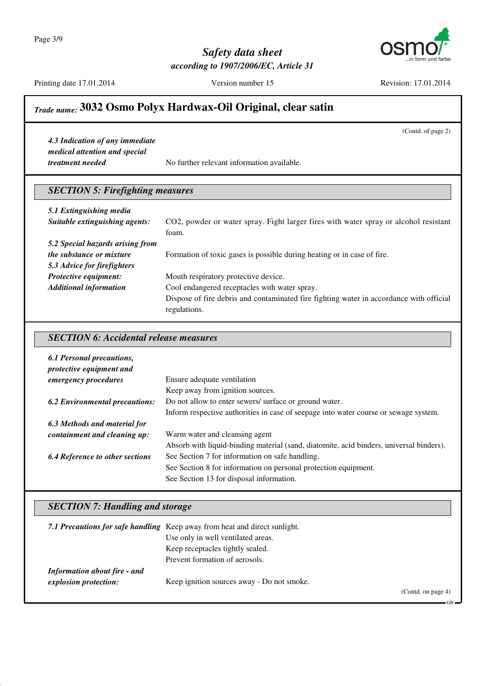Page 3/9

*Safety data sheet according to 1907/2006/EC, Article 31*



Printing date 17.01.2014 Version number 15 Revision: 17.01.2014

(Contd. of page 2)

# *Trade name:* **3032 Osmo Polyx Hardwax-Oil Original, clear satin**

*4.3 Indication of any immediate medical attention and special*

*treatment needed* No further relevant information available.

## *SECTION 5: Firefighting measures*

| 5.1 Extinguishing media          |                                                                                         |
|----------------------------------|-----------------------------------------------------------------------------------------|
| Suitable extinguishing agents:   | CO2, powder or water spray. Fight larger fires with water spray or alcohol resistant    |
|                                  | foam.                                                                                   |
| 5.2 Special hazards arising from |                                                                                         |
| <i>the substance or mixture</i>  | Formation of toxic gases is possible during heating or in case of fire.                 |
| 5.3 Advice for firefighters      |                                                                                         |
| Protective equipment:            | Mouth respiratory protective device.                                                    |
| <b>Additional information</b>    | Cool endangered receptacles with water spray.                                           |
|                                  | Dispose of fire debris and contaminated fire fighting water in accordance with official |
|                                  | regulations.                                                                            |

#### *SECTION 6: Accidental release measures*

| 6.1 Personal precautions,<br><i>protective equipment and</i> |                                                                                         |
|--------------------------------------------------------------|-----------------------------------------------------------------------------------------|
| emergency procedures                                         | Ensure adequate ventilation                                                             |
|                                                              | Keep away from ignition sources.                                                        |
| <b>6.2 Environmental precautions:</b>                        | Do not allow to enter sewers/ surface or ground water.                                  |
|                                                              | Inform respective authorities in case of seepage into water course or sewage system.    |
| 6.3 Methods and material for                                 |                                                                                         |
| containment and cleaning up:                                 | Warm water and cleansing agent                                                          |
|                                                              | Absorb with liquid-binding material (sand, diatomite, acid binders, universal binders). |
| <b>6.4 Reference to other sections</b>                       | See Section 7 for information on safe handling.                                         |
|                                                              | See Section 8 for information on personal protection equipment.                         |
|                                                              | See Section 13 for disposal information.                                                |

### *SECTION 7: Handling and storage*

|                              | 7.1 Precautions for safe handling Keep away from heat and direct sunlight. |                   |
|------------------------------|----------------------------------------------------------------------------|-------------------|
|                              | Use only in well ventilated areas.                                         |                   |
|                              | Keep receptacles tightly sealed.                                           |                   |
|                              | Prevent formation of aerosols.                                             |                   |
| Information about fire - and |                                                                            |                   |
| explosion protection:        | Keep ignition sources away - Do not smoke.                                 |                   |
|                              |                                                                            | (Cond. on page 4) |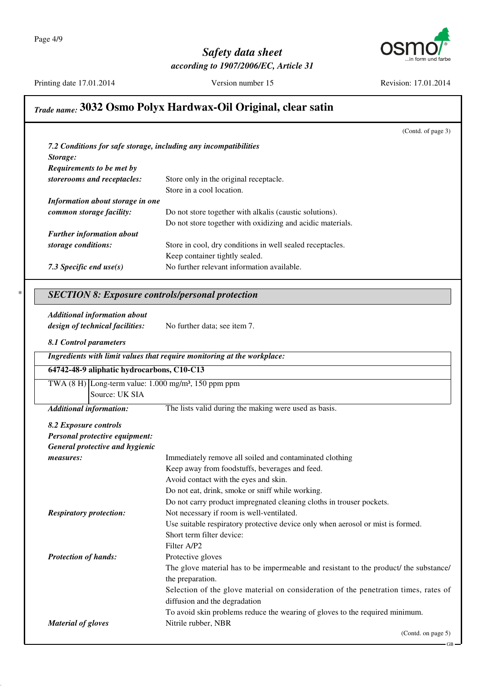

Printing date 17.01.2014 Version number 15 Revision: 17.01.2014

### *Trade name:* **3032 Osmo Polyx Hardwax-Oil Original, clear satin** (Contd. of page 3) *7.2 Conditions for safe storage, including any incompatibilities Storage: Requirements to be met by storerooms and receptacles:* Store only in the original receptacle. Store in a cool location. *Information about storage in one common storage facility:* Do not store together with alkalis (caustic solutions). Do not store together with oxidizing and acidic materials. *Further information about storage conditions:* Store in cool, dry conditions in well sealed receptacles. Keep container tightly sealed. 7.3 Specific end use(s) No further relevant information available. \* *SECTION 8: Exposure controls/personal protection Additional information about design of technical facilities:* No further data; see item 7. *8.1 Control parameters Ingredients with limit values that require monitoring at the workplace:* **64742-48-9 aliphatic hydrocarbons, C10-C13**  $TWA (8 H)$  Long-term value:  $1.000$  mg/m<sup>3</sup>, 150 ppm ppm Source: UK SIA *Additional information:* The lists valid during the making were used as basis. *8.2 Exposure controls Personal protective equipment: General protective and hygienic measures:* Immediately remove all soiled and contaminated clothing Keep away from foodstuffs, beverages and feed. Avoid contact with the eyes and skin. Do not eat, drink, smoke or sniff while working. Do not carry product impregnated cleaning cloths in trouser pockets. *Respiratory protection:* Not necessary if room is well-ventilated. Use suitable respiratory protective device only when aerosol or mist is formed. Short term filter device: Filter A/P2 *Protection of hands:* Protective gloves The glove material has to be impermeable and resistant to the product/ the substance/ the preparation. Selection of the glove material on consideration of the penetration times, rates of diffusion and the degradation To avoid skin problems reduce the wearing of gloves to the required minimum. *Material of gloves* Nitrile rubber, NBR

(Contd. on page 5)

GB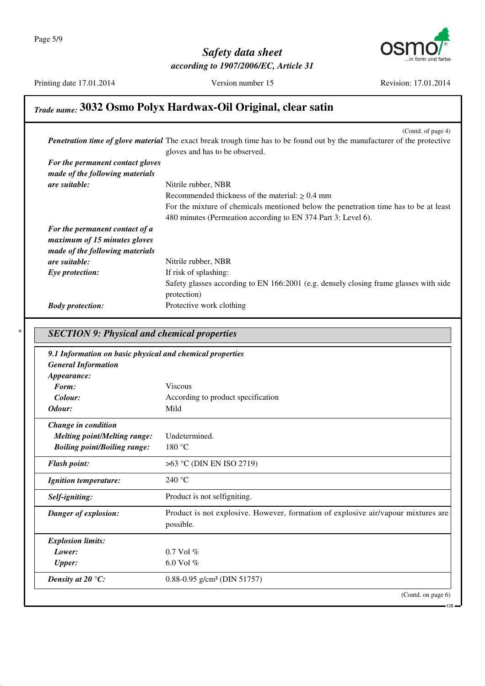

Printing date 17.01.2014 Version number 15 Revision: 17.01.2014

# *Trade name:* **3032 Osmo Polyx Hardwax-Oil Original, clear satin**

| (Contd. of page 4)                                                                                                              |
|---------------------------------------------------------------------------------------------------------------------------------|
| <b>Penetration time of glove material</b> The exact break trough time has to be found out by the manufacturer of the protective |
| gloves and has to be observed.                                                                                                  |
| For the permanent contact gloves                                                                                                |
|                                                                                                                                 |
| Nitrile rubber, NBR                                                                                                             |
| Recommended thickness of the material: $> 0.4$ mm                                                                               |
| For the mixture of chemicals mentioned below the penetration time has to be at least                                            |
| 480 minutes (Permeation according to EN 374 Part 3: Level 6).                                                                   |
|                                                                                                                                 |
|                                                                                                                                 |
|                                                                                                                                 |
| Nitrile rubber, NBR                                                                                                             |
| If risk of splashing:                                                                                                           |
| Safety glasses according to EN 166:2001 (e.g. densely closing frame glasses with side                                           |
| protection)                                                                                                                     |
| Protective work clothing                                                                                                        |
|                                                                                                                                 |

\* *SECTION 9: Physical and chemical properties*

| 9.1 Information on basic physical and chemical properties |                                                                                   |
|-----------------------------------------------------------|-----------------------------------------------------------------------------------|
| <b>General Information</b>                                |                                                                                   |
| Appearance:                                               |                                                                                   |
| Form:                                                     | <b>Viscous</b>                                                                    |
| Colour:                                                   | According to product specification                                                |
| Odour:                                                    | Mild                                                                              |
| Change in condition                                       |                                                                                   |
| <b>Melting point/Melting range:</b>                       | Undetermined.                                                                     |
| <b>Boiling point/Boiling range:</b>                       | 180 °C                                                                            |
| <b>Flash point:</b>                                       | $>63$ °C (DIN EN ISO 2719)                                                        |
| <b>Ignition temperature:</b>                              | 240 $\degree$ C                                                                   |
| Self-igniting:                                            | Product is not selfigniting.                                                      |
| Danger of explosion:                                      | Product is not explosive. However, formation of explosive air/vapour mixtures are |
|                                                           | possible.                                                                         |
| <b>Explosion limits:</b>                                  |                                                                                   |
| Lower:                                                    | $0.7$ Vol $%$                                                                     |
| <b>Upper:</b>                                             | 6.0 Vol $%$                                                                       |
| Density at 20 $\mathrm{^{\circ}C:}$                       | $0.88 - 0.95$ g/cm <sup>3</sup> (DIN 51757)                                       |
|                                                           | (Contd. on page 6)                                                                |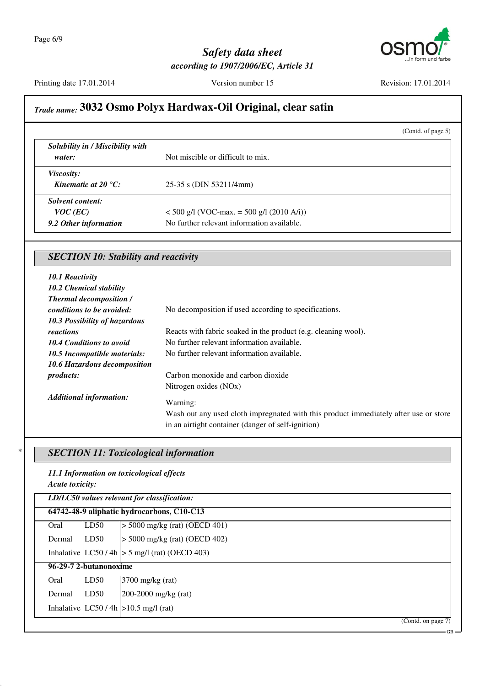

Printing date 17.01.2014 Version number 15 Revision: 17.01.2014

# *Trade name:* **3032 Osmo Polyx Hardwax-Oil Original, clear satin**

|                                                         |                                                                                           | (Contd. of page $5$ ) |
|---------------------------------------------------------|-------------------------------------------------------------------------------------------|-----------------------|
| Solubility in / Miscibility with<br>water:              | Not miscible or difficult to mix.                                                         |                       |
| <i>Viscosity:</i><br><b>Kinematic at 20 °C:</b>         | 25-35 s (DIN 53211/4mm)                                                                   |                       |
| Solvent content:<br>$VOC$ (EC)<br>9.2 Other information | $<$ 500 g/l (VOC-max. = 500 g/l (2010 A/i))<br>No further relevant information available. |                       |

## *SECTION 10: Stability and reactivity*

| 10.1 Reactivity                     |                                                                                      |
|-------------------------------------|--------------------------------------------------------------------------------------|
| 10.2 Chemical stability             |                                                                                      |
| <b>Thermal decomposition /</b>      |                                                                                      |
| conditions to be avoided:           | No decomposition if used according to specifications.                                |
| 10.3 Possibility of hazardous       |                                                                                      |
| reactions                           | Reacts with fabric soaked in the product (e.g. cleaning wool).                       |
| 10.4 Conditions to avoid            | No further relevant information available.                                           |
| 10.5 Incompatible materials:        | No further relevant information available.                                           |
| <b>10.6 Hazardous decomposition</b> |                                                                                      |
| <i>products:</i>                    | Carbon monoxide and carbon dioxide                                                   |
|                                     | Nitrogen oxides (NO <sub>x</sub> )                                                   |
| <b>Additional information:</b>      | Warning:                                                                             |
|                                     | Wash out any used cloth impregnated with this product immediately after use or store |
|                                     | in an airtight container (danger of self-ignition)                                   |

### \* *SECTION 11: Toxicological information*

#### *11.1 Information on toxicological effects Acute toxicity:*

|        | LD/LC50 values relevant for classification: |                                                  |  |
|--------|---------------------------------------------|--------------------------------------------------|--|
|        | 64742-48-9 aliphatic hydrocarbons, C10-C13  |                                                  |  |
| Oral   | LD50                                        | $>$ 5000 mg/kg (rat) (OECD 401)                  |  |
| Dermal | LD50                                        | $>$ 5000 mg/kg (rat) (OECD 402)                  |  |
|        |                                             | Inhalative $ LC50/4h  > 5$ mg/l (rat) (OECD 403) |  |
|        | 96-29-7 2-butanonoxime                      |                                                  |  |
| Oral   | LD50                                        | $3700$ mg/kg (rat)                               |  |
| Dermal | LD50                                        | $200-2000$ mg/kg (rat)                           |  |
|        |                                             | Inhalative $ LC50/4h  > 10.5$ mg/l (rat)         |  |
|        |                                             | (Cond. on page 7)                                |  |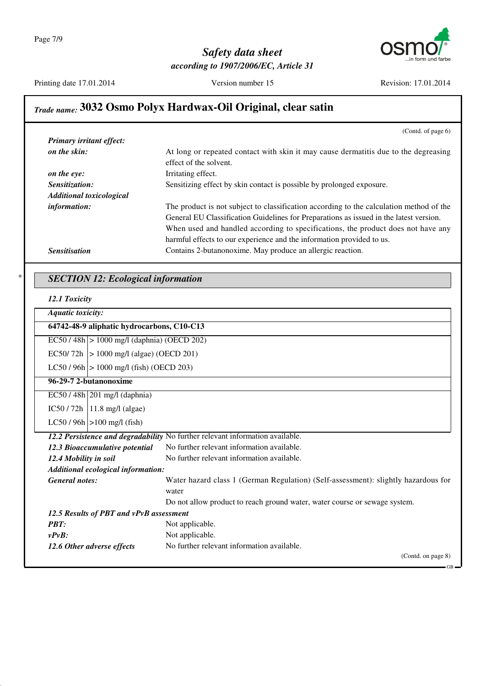

Printing date 17.01.2014 Version number 15 Revision: 17.01.2014

# *Trade name:* **3032 Osmo Polyx Hardwax-Oil Original, clear satin**

| (Contd. of page $6$ )                                                                   |
|-----------------------------------------------------------------------------------------|
|                                                                                         |
| At long or repeated contact with skin it may cause dermatitis due to the degreasing     |
| effect of the solvent.                                                                  |
| Irritating effect.                                                                      |
| Sensitizing effect by skin contact is possible by prolonged exposure.                   |
|                                                                                         |
| The product is not subject to classification according to the calculation method of the |
| General EU Classification Guidelines for Preparations as issued in the latest version.  |
| When used and handled according to specifications, the product does not have any        |
| harmful effects to our experience and the information provided to us.                   |
| Contains 2-butanonoxime. May produce an allergic reaction.                              |
|                                                                                         |

### \* *SECTION 12: Ecological information*

|  | 12.1 Toxicity |
|--|---------------|
|--|---------------|

| <b>Aquatic toxicity:</b>                   |                                                                                    |  |  |
|--------------------------------------------|------------------------------------------------------------------------------------|--|--|
| 64742-48-9 aliphatic hydrocarbons, C10-C13 |                                                                                    |  |  |
|                                            | $EC50 / 48h$ > 1000 mg/l (daphnia) (OECD 202)                                      |  |  |
| EC50/72h   > 1000 mg/l (algae) (OECD 201)  |                                                                                    |  |  |
|                                            | $LC50 / 96h$ $> 1000$ mg/l (fish) (OECD 203)                                       |  |  |
| 96-29-7 2-butanonoxime                     |                                                                                    |  |  |
| $EC50/48h$ 201 mg/l (daphnia)              |                                                                                    |  |  |
| $IC50 / 72h$   11.8 mg/l (algae)           |                                                                                    |  |  |
| $LC50 / 96h$  >100 mg/l (fish)             |                                                                                    |  |  |
|                                            | 12.2 Persistence and degradability No further relevant information available.      |  |  |
| 12.3 Bioaccumulative potential             | No further relevant information available.                                         |  |  |
| 12.4 Mobility in soil                      | No further relevant information available.                                         |  |  |
| Additional ecological information:         |                                                                                    |  |  |
| <b>General notes:</b>                      | Water hazard class 1 (German Regulation) (Self-assessment): slightly hazardous for |  |  |
|                                            | water                                                                              |  |  |
|                                            | Do not allow product to reach ground water, water course or sewage system.         |  |  |
| 12.5 Results of PBT and vPvB assessment    |                                                                                    |  |  |
| <b>PBT:</b>                                | Not applicable.                                                                    |  |  |
| $v P v B$ :                                | Not applicable.                                                                    |  |  |
| 12.6 Other adverse effects                 | No further relevant information available.                                         |  |  |
|                                            | (Contd. on page 8)                                                                 |  |  |
|                                            | - GB                                                                               |  |  |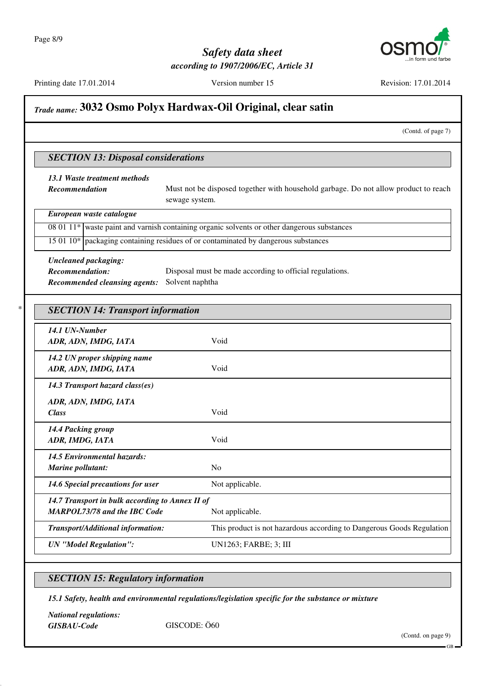

Printing date 17.01.2014 Version number 15 Revision: 17.01.2014

# *Trade name:* **3032 Osmo Polyx Hardwax-Oil Original, clear satin**

(Contd. of page 7)

#### *SECTION 13: Disposal considerations*

# *13.1 Waste treatment methods*

**Recommendation** Must not be disposed together with household garbage. Do not allow product to reach sewage system.

| European waste catalogue |                                                                                                |  |
|--------------------------|------------------------------------------------------------------------------------------------|--|
|                          | 08 01 11 $*$ waste paint and varnish containing organic solvents or other dangerous substances |  |
|                          | 15 01 10* packaging containing residues of or contaminated by dangerous substances             |  |

*Uncleaned packaging: Recommendation:* Disposal must be made according to official regulations. *Recommended cleansing agents:* Solvent naphtha

| <b>SECTION 14: Transport information</b>             |                                                                       |
|------------------------------------------------------|-----------------------------------------------------------------------|
| 14.1 UN-Number<br>ADR, ADN, IMDG, IATA               | Void                                                                  |
| 14.2 UN proper shipping name<br>ADR, ADN, IMDG, IATA | Void                                                                  |
| 14.3 Transport hazard class(es)                      |                                                                       |
| ADR, ADN, IMDG, IATA                                 |                                                                       |
| <b>Class</b>                                         | Void                                                                  |
| 14.4 Packing group                                   |                                                                       |
| ADR, IMDG, IATA                                      | Void                                                                  |
| <b>14.5 Environmental hazards:</b>                   |                                                                       |
| Marine pollutant:                                    | N <sub>0</sub>                                                        |
| 14.6 Special precautions for user                    | Not applicable.                                                       |
| 14.7 Transport in bulk according to Annex II of      |                                                                       |
| <b>MARPOL73/78 and the IBC Code</b>                  | Not applicable.                                                       |
| Transport/Additional information:                    | This product is not hazardous according to Dangerous Goods Regulation |
| <b>UN</b> "Model Regulation":                        | <b>UN1263; FARBE; 3; III</b>                                          |
|                                                      |                                                                       |

#### *SECTION 15: Regulatory information*

*15.1 Safety, health and environmental regulations/legislation specific for the substance or mixture*

*National regulations: GISBAU-Code* GISCODE: Ö60

(Contd. on page 9)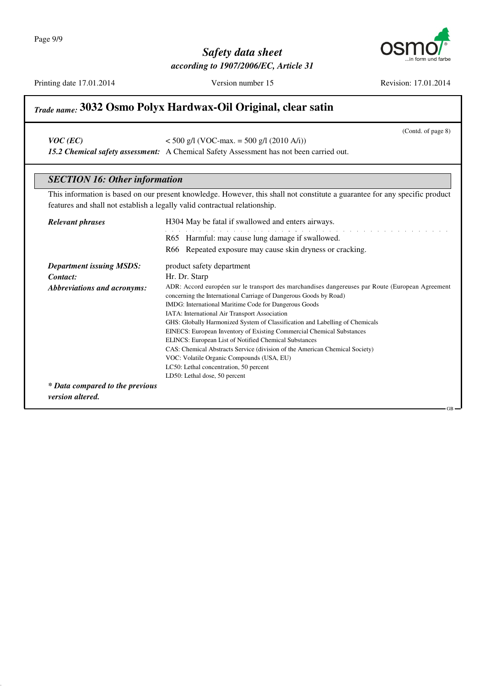

Printing date 17.01.2014 Version number 15 Revision: 17.01.2014

(Contd. of page 8)

GB

# *Trade name:* **3032 Osmo Polyx Hardwax-Oil Original, clear satin**

 $<$  500 g/l (VOC-max. = 500 g/l (2010 A/i))

*15.2 Chemical safety assessment:* A Chemical Safety Assessment has not been carried out.

#### *SECTION 16: Other information*

This information is based on our present knowledge. However, this shall not constitute a guarantee for any specific product features and shall not establish a legally valid contractual relationship.

| <b>Relevant phrases</b>         | H304 May be fatal if swallowed and enters airways.                                                                                                                                                                             |
|---------------------------------|--------------------------------------------------------------------------------------------------------------------------------------------------------------------------------------------------------------------------------|
|                                 | R65 Harmful: may cause lung damage if swallowed.                                                                                                                                                                               |
|                                 | R66 Repeated exposure may cause skin dryness or cracking.                                                                                                                                                                      |
| <b>Department issuing MSDS:</b> | product safety department                                                                                                                                                                                                      |
| Contact:                        | Hr. Dr. Starp                                                                                                                                                                                                                  |
| Abbreviations and acronyms:     | ADR: Accord européen sur le transport des marchandises dangereuses par Route (European Agreement<br>concerning the International Carriage of Dangerous Goods by Road)<br>IMDG: International Maritime Code for Dangerous Goods |
|                                 | IATA: International Air Transport Association                                                                                                                                                                                  |
|                                 | GHS: Globally Harmonized System of Classification and Labelling of Chemicals                                                                                                                                                   |
|                                 | EINECS: European Inventory of Existing Commercial Chemical Substances                                                                                                                                                          |
|                                 | ELINCS: European List of Notified Chemical Substances                                                                                                                                                                          |
|                                 | CAS: Chemical Abstracts Service (division of the American Chemical Society)                                                                                                                                                    |
|                                 | VOC: Volatile Organic Compounds (USA, EU)                                                                                                                                                                                      |
|                                 | LC50: Lethal concentration, 50 percent                                                                                                                                                                                         |
|                                 | LD50: Lethal dose, 50 percent                                                                                                                                                                                                  |
| * Data compared to the previous |                                                                                                                                                                                                                                |
| version altered.                |                                                                                                                                                                                                                                |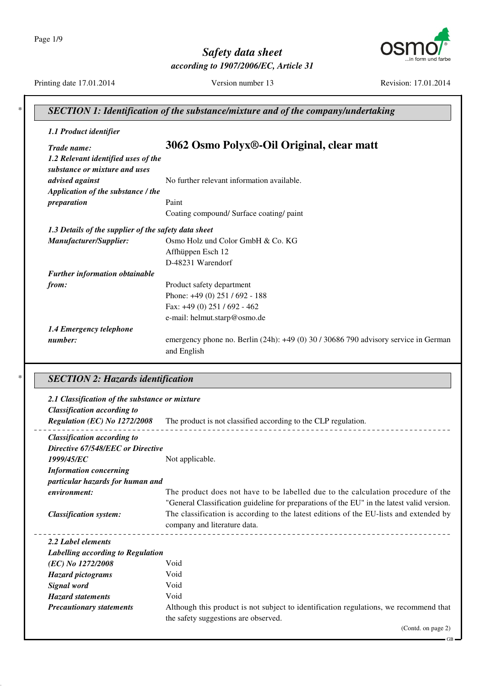Page 1/9



*Safety data sheet according to 1907/2006/EC, Article 31*

Printing date 17.01.2014 Version number 13 Revision: 17.01.2014

| 1.1 Product identifier                               |                                                                                     |
|------------------------------------------------------|-------------------------------------------------------------------------------------|
| Trade name:                                          | 3062 Osmo Polyx®-Oil Original, clear matt                                           |
| 1.2 Relevant identified uses of the                  |                                                                                     |
| substance or mixture and uses                        |                                                                                     |
| advised against                                      | No further relevant information available.                                          |
| Application of the substance / the                   |                                                                                     |
| preparation                                          | Paint                                                                               |
|                                                      | Coating compound/ Surface coating/ paint                                            |
| 1.3 Details of the supplier of the safety data sheet |                                                                                     |
| Manufacturer/Supplier:                               | Osmo Holz und Color GmbH & Co. KG                                                   |
|                                                      | Affhüppen Esch 12                                                                   |
|                                                      | D-48231 Warendorf                                                                   |
| Further information obtainable                       |                                                                                     |
| from:                                                | Product safety department                                                           |
|                                                      | Phone: +49 (0) 251 / 692 - 188                                                      |
|                                                      | Fax: +49 (0) 251 / 692 - 462                                                        |
|                                                      | e-mail: helmut.starp@osmo.de                                                        |
| 1.4 Emergency telephone                              |                                                                                     |
| number:                                              | emergency phone no. Berlin (24h): +49 (0) 30 / 30686 790 advisory service in German |
|                                                      | and English                                                                         |

| Regulation (EC) No 1272/2008       | The product is not classified according to the CLP regulation.                             |
|------------------------------------|--------------------------------------------------------------------------------------------|
| <b>Classification according to</b> |                                                                                            |
| Directive 67/548/EEC or Directive  |                                                                                            |
| 1999/45/EC                         | Not applicable.                                                                            |
| <b>Information concerning</b>      |                                                                                            |
| particular hazards for human and   |                                                                                            |
| environment:                       | The product does not have to be labelled due to the calculation procedure of the           |
|                                    | "General Classification guideline for preparations of the EU" in the latest valid version. |
| <b>Classification system:</b>      | The classification is according to the latest editions of the EU-lists and extended by     |
|                                    | company and literature data.                                                               |
| 2.2 Label elements                 |                                                                                            |
| Labelling according to Regulation  |                                                                                            |
| (EC) No 1272/2008                  | Void                                                                                       |
| <b>Hazard</b> pictograms           | Void                                                                                       |
| Signal word                        | Void                                                                                       |
| <b>Hazard statements</b>           | Void                                                                                       |
| <b>Precautionary statements</b>    | Although this product is not subject to identification regulations, we recommend that      |
|                                    | the safety suggestions are observed.                                                       |
|                                    |                                                                                            |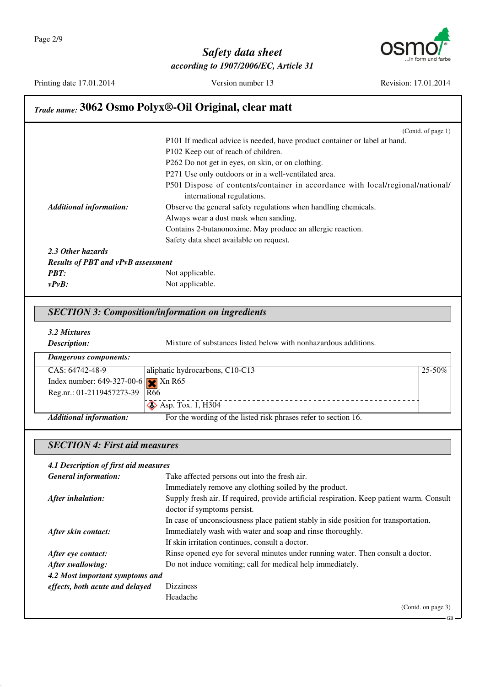Printing date 17.01.2014 Version number 13 Revision: 17.01.2014

# *Trade name:* **3062 Osmo Polyx®-Oil Original, clear matt**

|                                           | (Contd. of page $1$ )                                                                                        |
|-------------------------------------------|--------------------------------------------------------------------------------------------------------------|
|                                           | P101 If medical advice is needed, have product container or label at hand.                                   |
|                                           | P102 Keep out of reach of children.                                                                          |
|                                           | P262 Do not get in eyes, on skin, or on clothing.                                                            |
|                                           | P271 Use only outdoors or in a well-ventilated area.                                                         |
|                                           | P501 Dispose of contents/container in accordance with local/regional/national/<br>international regulations. |
| <b>Additional information:</b>            | Observe the general safety regulations when handling chemicals.                                              |
|                                           | Always wear a dust mask when sanding.                                                                        |
|                                           | Contains 2-butanonoxime. May produce an allergic reaction.                                                   |
|                                           | Safety data sheet available on request.                                                                      |
| 2.3 Other hazards                         |                                                                                                              |
| <b>Results of PBT and vPvB assessment</b> |                                                                                                              |
| PBT:                                      | Not applicable.                                                                                              |
| vPvB:                                     | Not applicable.                                                                                              |

#### *SECTION 3: Composition/information on ingredients*

| Description:                               | Mixture of substances listed below with nonhazardous additions. |             |
|--------------------------------------------|-----------------------------------------------------------------|-------------|
| Dangerous components:                      |                                                                 |             |
| CAS: 64742-48-9                            | aliphatic hydrocarbons, C10-C13                                 | $25 - 50\%$ |
| Index number: $649-327-00-6$ $\chi$ Xn R65 |                                                                 |             |
| Reg.nr.: 01-2119457273-39 $\sqrt{R66}$     |                                                                 |             |
|                                            | $\diamond$ Asp. Tox. 1, H304                                    |             |
| <b>Additional information:</b>             | For the wording of the listed risk phrases refer to section 16. |             |

## *SECTION 4: First aid measures*

| 4.1 Description of first aid measures |                                                                                           |
|---------------------------------------|-------------------------------------------------------------------------------------------|
| <b>General information:</b>           | Take affected persons out into the fresh air.                                             |
|                                       | Immediately remove any clothing soiled by the product.                                    |
| After inhalation:                     | Supply fresh air. If required, provide artificial respiration. Keep patient warm. Consult |
|                                       | doctor if symptoms persist.                                                               |
|                                       | In case of unconsciousness place patient stably in side position for transportation.      |
| After skin contact:                   | Immediately wash with water and soap and rinse thoroughly.                                |
|                                       | If skin irritation continues, consult a doctor.                                           |
| After eye contact:                    | Rinse opened eye for several minutes under running water. Then consult a doctor.          |
| After swallowing:                     | Do not induce vomiting; call for medical help immediately.                                |
| 4.2 Most important symptoms and       |                                                                                           |
| effects, both acute and delayed       | <b>Dizziness</b>                                                                          |
|                                       | Headache                                                                                  |
|                                       | (Contd. on page 3)                                                                        |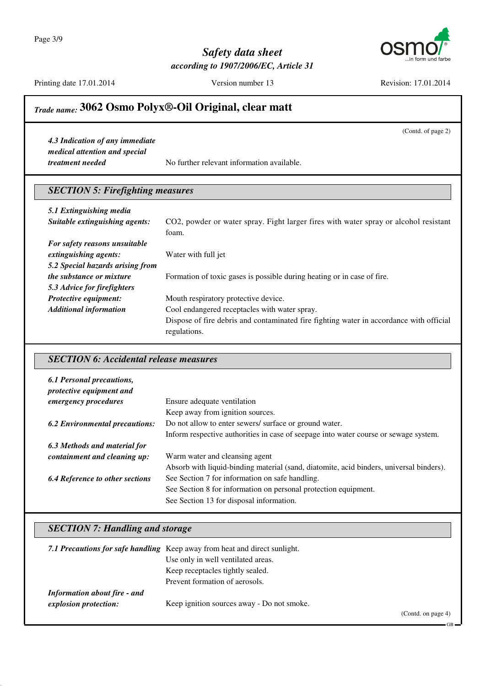Page 3/9

*Safety data sheet according to 1907/2006/EC, Article 31*



Printing date 17.01.2014 Version number 13 Revision: 17.01.2014

(Contd. of page 2)

GB

# *Trade name:* **3062 Osmo Polyx®-Oil Original, clear matt**

*4.3 Indication of any immediate medical attention and special*

*treatment needed* No further relevant information available.

### *SECTION 5: Firefighting measures*

| 5.1 Extinguishing media          |                                                                                         |
|----------------------------------|-----------------------------------------------------------------------------------------|
| Suitable extinguishing agents:   | CO2, powder or water spray. Fight larger fires with water spray or alcohol resistant    |
|                                  | foam.                                                                                   |
| For safety reasons unsuitable    |                                                                                         |
| extinguishing agents:            | Water with full jet                                                                     |
| 5.2 Special hazards arising from |                                                                                         |
| <i>the substance or mixture</i>  | Formation of toxic gases is possible during heating or in case of fire.                 |
| 5.3 Advice for firefighters      |                                                                                         |
| <b>Protective equipment:</b>     | Mouth respiratory protective device.                                                    |
| <b>Additional information</b>    | Cool endangered receptacles with water spray.                                           |
|                                  | Dispose of fire debris and contaminated fire fighting water in accordance with official |
|                                  | regulations.                                                                            |

#### *SECTION 6: Accidental release measures*

| 6.1 Personal precautions,<br>protective equipment and |                                                                                         |
|-------------------------------------------------------|-----------------------------------------------------------------------------------------|
| emergency procedures                                  | Ensure adequate ventilation                                                             |
|                                                       | Keep away from ignition sources.                                                        |
| <b>6.2 Environmental precautions:</b>                 | Do not allow to enter sewers/ surface or ground water.                                  |
|                                                       | Inform respective authorities in case of seepage into water course or sewage system.    |
| 6.3 Methods and material for                          |                                                                                         |
| containment and cleaning up:                          | Warm water and cleansing agent                                                          |
|                                                       | Absorb with liquid-binding material (sand, diatomite, acid binders, universal binders). |
| <b>6.4 Reference to other sections</b>                | See Section 7 for information on safe handling.                                         |
|                                                       | See Section 8 for information on personal protection equipment.                         |
|                                                       | See Section 13 for disposal information.                                                |

### *SECTION 7: Handling and storage*

|                                     | 7.1 Precautions for safe handling Keep away from heat and direct sunlight. |                    |
|-------------------------------------|----------------------------------------------------------------------------|--------------------|
|                                     | Use only in well ventilated areas.                                         |                    |
|                                     | Keep receptacles tightly sealed.                                           |                    |
|                                     | Prevent formation of aerosols.                                             |                    |
| <b>Information about fire - and</b> |                                                                            |                    |
| explosion protection:               | Keep ignition sources away - Do not smoke.                                 |                    |
|                                     |                                                                            | (Contd. on page 4) |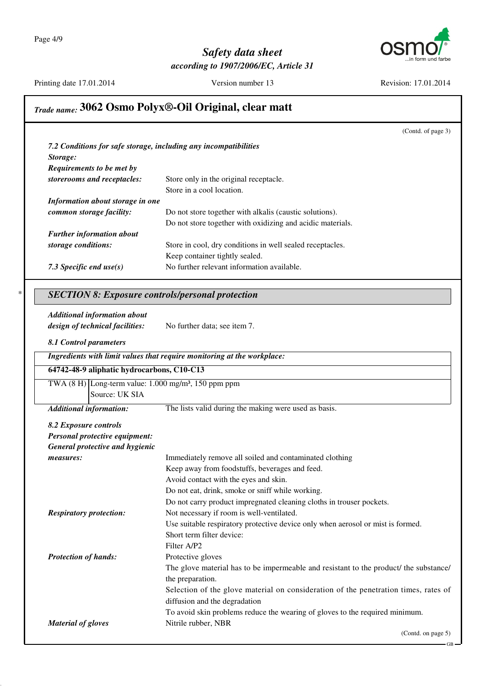

(Contd. of page 3)

GB

## Printing date 17.01.2014 Version number 13 Revision: 17.01.2014 *Trade name:* **3062 Osmo Polyx®-Oil Original, clear matt** *7.2 Conditions for safe storage, including any incompatibilities Storage: Requirements to be met by storerooms and receptacles:* Store only in the original receptacle. Store in a cool location. *Information about storage in one common storage facility:* Do not store together with alkalis (caustic solutions). Do not store together with oxidizing and acidic materials. *Further information about storage conditions:* Store in cool, dry conditions in well sealed receptacles. Keep container tightly sealed. 7.3 Specific end use(s) No further relevant information available. \* *SECTION 8: Exposure controls/personal protection Additional information about design of technical facilities:* No further data; see item 7. *8.1 Control parameters Ingredients with limit values that require monitoring at the workplace:* **64742-48-9 aliphatic hydrocarbons, C10-C13**  $TWA (8 H)$  Long-term value:  $1.000$  mg/m<sup>3</sup>, 150 ppm ppm Source: UK SIA *Additional information:* The lists valid during the making were used as basis. *8.2 Exposure controls Personal protective equipment: General protective and hygienic measures:* Immediately remove all soiled and contaminated clothing Keep away from foodstuffs, beverages and feed. Avoid contact with the eyes and skin. Do not eat, drink, smoke or sniff while working. Do not carry product impregnated cleaning cloths in trouser pockets. *Respiratory protection:* Not necessary if room is well-ventilated. Use suitable respiratory protective device only when aerosol or mist is formed. Short term filter device: Filter A/P2 *Protection of hands:* Protective gloves The glove material has to be impermeable and resistant to the product/ the substance/ the preparation. Selection of the glove material on consideration of the penetration times, rates of diffusion and the degradation To avoid skin problems reduce the wearing of gloves to the required minimum. *Material of gloves* Nitrile rubber, NBR (Contd. on page 5)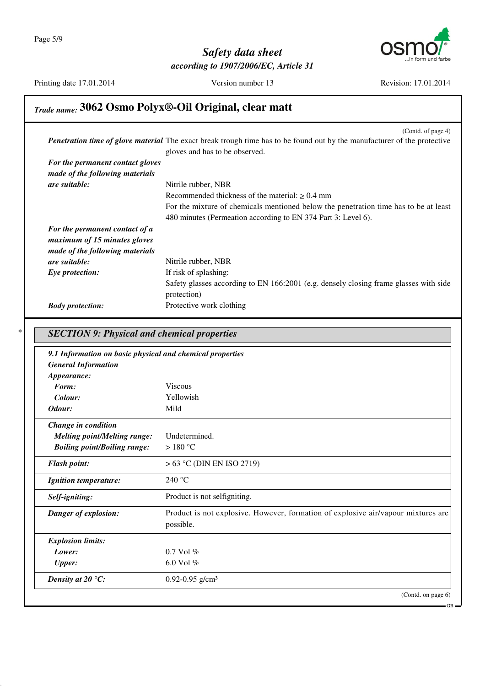

Printing date 17.01.2014 Version number 13 Revision: 17.01.2014

# *Trade name:* **3062 Osmo Polyx®-Oil Original, clear matt**

|                                  | (Contd. of page 4)                                                                                                              |
|----------------------------------|---------------------------------------------------------------------------------------------------------------------------------|
|                                  | <b>Penetration time of glove material</b> The exact break trough time has to be found out by the manufacturer of the protective |
|                                  | gloves and has to be observed.                                                                                                  |
| For the permanent contact gloves |                                                                                                                                 |
| made of the following materials  |                                                                                                                                 |
| <i>are suitable:</i>             | Nitrile rubber, NBR                                                                                                             |
|                                  | Recommended thickness of the material: $> 0.4$ mm                                                                               |
|                                  | For the mixture of chemicals mentioned below the penetration time has to be at least                                            |
|                                  | 480 minutes (Permeation according to EN 374 Part 3: Level 6).                                                                   |
| For the permanent contact of a   |                                                                                                                                 |
| maximum of 15 minutes gloves     |                                                                                                                                 |
| made of the following materials  |                                                                                                                                 |
| <i>are suitable:</i>             | Nitrile rubber, NBR                                                                                                             |
| Eye protection:                  | If risk of splashing:                                                                                                           |
|                                  | Safety glasses according to EN 166:2001 (e.g. densely closing frame glasses with side                                           |
|                                  | protection)                                                                                                                     |
| <b>Body protection:</b>          | Protective work clothing                                                                                                        |

### \* *SECTION 9: Physical and chemical properties*

| 9.1 Information on basic physical and chemical properties |                                                                                   |
|-----------------------------------------------------------|-----------------------------------------------------------------------------------|
| <b>General Information</b>                                |                                                                                   |
| Appearance:                                               |                                                                                   |
| Form:                                                     | <b>Viscous</b>                                                                    |
| Colour:                                                   | Yellowish                                                                         |
| Odour:                                                    | Mild                                                                              |
| Change in condition                                       |                                                                                   |
| <b>Melting point/Melting range:</b>                       | Undetermined.                                                                     |
| <b>Boiling point/Boiling range:</b>                       | $>180^{\circ}$ C                                                                  |
| <b>Flash point:</b>                                       | $> 63$ °C (DIN EN ISO 2719)                                                       |
| <b>Ignition temperature:</b>                              | 240 °C                                                                            |
| Self-igniting:                                            | Product is not selfigniting.                                                      |
| Danger of explosion:                                      | Product is not explosive. However, formation of explosive air/vapour mixtures are |
|                                                           | possible.                                                                         |
| <b>Explosion limits:</b>                                  |                                                                                   |
| Lower:                                                    | $0.7$ Vol $%$                                                                     |
| <b>Upper:</b>                                             | 6.0 Vol $%$                                                                       |
| Density at 20 $\mathrm{^{\circ}C:}$                       | 0.92-0.95 $g/cm3$                                                                 |
|                                                           | (Contd. on page 6)                                                                |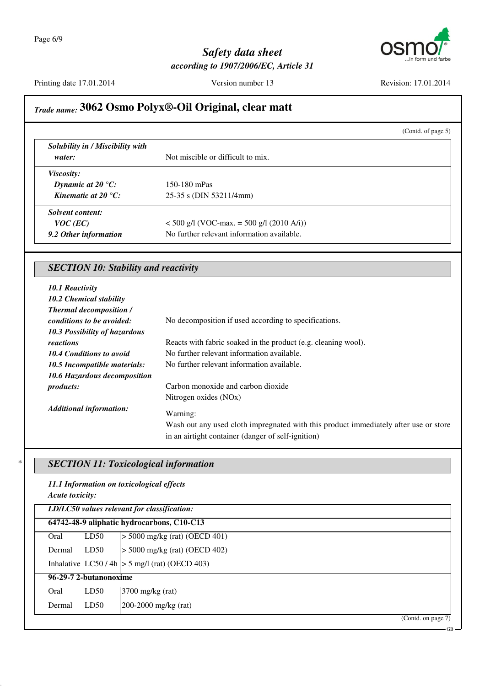

Printing date 17.01.2014 Version number 13 Revision: 17.01.2014

GB

# *Trade name:* **3062 Osmo Polyx®-Oil Original, clear matt**

|                                                                 | (Contd. of page 5)                                                                               |
|-----------------------------------------------------------------|--------------------------------------------------------------------------------------------------|
| Solubility in / Miscibility with                                |                                                                                                  |
| water:                                                          | Not miscible or difficult to mix.                                                                |
| Viscosity:                                                      |                                                                                                  |
| Dynamic at $20^{\circ}$ C:                                      | 150-180 mPas                                                                                     |
| Kinematic at 20 $^{\circ}$ C:                                   | 25-35 s (DIN 53211/4mm)                                                                          |
| <b>Solvent content:</b>                                         |                                                                                                  |
| $VOC$ (EC)                                                      | $<$ 500 g/l (VOC-max. = 500 g/l (2010 A/i))                                                      |
| 9.2 Other information                                           | No further relevant information available.                                                       |
|                                                                 |                                                                                                  |
|                                                                 |                                                                                                  |
| <b>SECTION 10: Stability and reactivity</b>                     |                                                                                                  |
|                                                                 |                                                                                                  |
| <b>10.1 Reactivity</b><br>10.2 Chemical stability               |                                                                                                  |
| <b>Thermal decomposition /</b>                                  |                                                                                                  |
| conditions to be avoided:                                       | No decomposition if used according to specifications.                                            |
| 10.3 Possibility of hazardous                                   |                                                                                                  |
| reactions                                                       | Reacts with fabric soaked in the product (e.g. cleaning wool).                                   |
|                                                                 | No further relevant information available.                                                       |
| <b>10.4 Conditions to avoid</b><br>10.5 Incompatible materials: | No further relevant information available.                                                       |
| 10.6 Hazardous decomposition                                    |                                                                                                  |
| products:                                                       | Carbon monoxide and carbon dioxide                                                               |
|                                                                 | Nitrogen oxides (NOx)                                                                            |
| <b>Additional information:</b>                                  |                                                                                                  |
|                                                                 | Warning:<br>Wash out any used cloth impregnated with this product immediately after use or store |

### \* *SECTION 11: Toxicological information*

## *11.1 Information on toxicological effects*

*Acute toxicity:*

| LD/LC50 values relevant for classification: |                        |                                                  |  |
|---------------------------------------------|------------------------|--------------------------------------------------|--|
| 64742-48-9 aliphatic hydrocarbons, C10-C13  |                        |                                                  |  |
| Oral                                        | LD50                   | $> 5000$ mg/kg (rat) (OECD 401)                  |  |
| Dermal                                      | LD50                   | $> 5000$ mg/kg (rat) (OECD 402)                  |  |
|                                             |                        | Inhalative $ LC50/4h  > 5$ mg/l (rat) (OECD 403) |  |
|                                             | 96-29-7 2-butanonoxime |                                                  |  |
| Oral                                        | LD50                   | $3700$ mg/kg (rat)                               |  |
| Dermal                                      | LD50                   | 200-2000 mg/kg $(rat)$                           |  |
|                                             |                        | (Contd. on page 7)                               |  |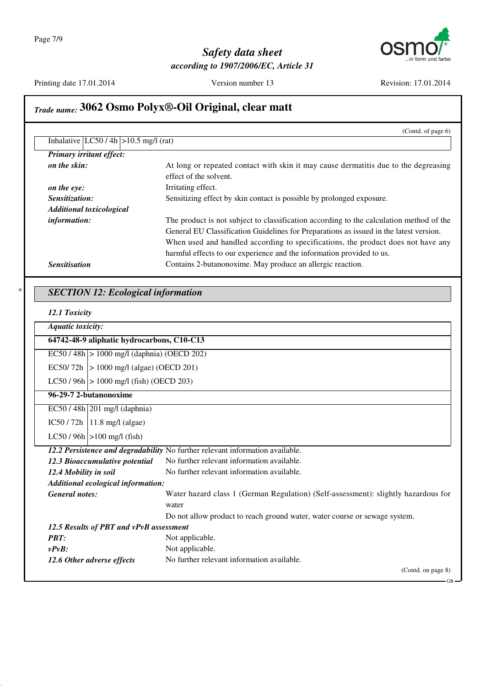

Printing date 17.01.2014 Version number 13 Revision: 17.01.2014

# *Trade name:* **3062 Osmo Polyx®-Oil Original, clear matt**

| Primary irritant effect:<br>At long or repeated contact with skin it may cause dermatitis due to the degreasing<br>on the skin:<br>effect of the solvent.<br>Irritating effect.<br>on the eye:<br>Sensitizing effect by skin contact is possible by prolonged exposure.<br>Sensitization:<br><b>Additional toxicological</b><br>information:<br>The product is not subject to classification according to the calculation method of the<br>General EU Classification Guidelines for Preparations as issued in the latest version.<br>When used and handled according to specifications, the product does not have any | Inhalative $ LC50/4h  > 10.5$ mg/l (rat) | (Contd. of page 6) |  |
|-----------------------------------------------------------------------------------------------------------------------------------------------------------------------------------------------------------------------------------------------------------------------------------------------------------------------------------------------------------------------------------------------------------------------------------------------------------------------------------------------------------------------------------------------------------------------------------------------------------------------|------------------------------------------|--------------------|--|
|                                                                                                                                                                                                                                                                                                                                                                                                                                                                                                                                                                                                                       |                                          |                    |  |
|                                                                                                                                                                                                                                                                                                                                                                                                                                                                                                                                                                                                                       |                                          |                    |  |
|                                                                                                                                                                                                                                                                                                                                                                                                                                                                                                                                                                                                                       |                                          |                    |  |
|                                                                                                                                                                                                                                                                                                                                                                                                                                                                                                                                                                                                                       |                                          |                    |  |
|                                                                                                                                                                                                                                                                                                                                                                                                                                                                                                                                                                                                                       |                                          |                    |  |
|                                                                                                                                                                                                                                                                                                                                                                                                                                                                                                                                                                                                                       |                                          |                    |  |
|                                                                                                                                                                                                                                                                                                                                                                                                                                                                                                                                                                                                                       |                                          |                    |  |
|                                                                                                                                                                                                                                                                                                                                                                                                                                                                                                                                                                                                                       |                                          |                    |  |
|                                                                                                                                                                                                                                                                                                                                                                                                                                                                                                                                                                                                                       |                                          |                    |  |
|                                                                                                                                                                                                                                                                                                                                                                                                                                                                                                                                                                                                                       |                                          |                    |  |
| harmful effects to our experience and the information provided to us.                                                                                                                                                                                                                                                                                                                                                                                                                                                                                                                                                 |                                          |                    |  |
| Contains 2-butanonoxime. May produce an allergic reaction.<br><b>Sensitisation</b>                                                                                                                                                                                                                                                                                                                                                                                                                                                                                                                                    |                                          |                    |  |
|                                                                                                                                                                                                                                                                                                                                                                                                                                                                                                                                                                                                                       |                                          |                    |  |
|                                                                                                                                                                                                                                                                                                                                                                                                                                                                                                                                                                                                                       |                                          |                    |  |
|                                                                                                                                                                                                                                                                                                                                                                                                                                                                                                                                                                                                                       |                                          |                    |  |
| <b>SECTION 12: Ecological information</b><br>12.1 Toxicity                                                                                                                                                                                                                                                                                                                                                                                                                                                                                                                                                            |                                          |                    |  |
| <b>Aquatic toxicity:</b>                                                                                                                                                                                                                                                                                                                                                                                                                                                                                                                                                                                              |                                          |                    |  |
| 64742-48-9 aliphatic hydrocarbons, C10-C13                                                                                                                                                                                                                                                                                                                                                                                                                                                                                                                                                                            |                                          |                    |  |
| $EC50 / 48h$ > 1000 mg/l (daphnia) (OECD 202)                                                                                                                                                                                                                                                                                                                                                                                                                                                                                                                                                                         |                                          |                    |  |
| EC50/72h $ > 1000$ mg/l (algae) (OECD 201)                                                                                                                                                                                                                                                                                                                                                                                                                                                                                                                                                                            |                                          |                    |  |
| $LC50 / 96h$ > 1000 mg/l (fish) (OECD 203)                                                                                                                                                                                                                                                                                                                                                                                                                                                                                                                                                                            |                                          |                    |  |

EC50 / 48h 201 mg/l (daphnia)

 $IC50 / 72h$  11.8 mg/l (algae)

 $LC50 / 96h$  >100 mg/l (fish)

*12.2 Persistence and degradability* No further relevant information available.

*12.3 Bioaccumulative potential* No further relevant information available. **12.4 Mobility in soil** No further relevant information available.

*Additional ecological information:*

*General notes:* Water hazard class 1 (German Regulation) (Self-assessment): slightly hazardous for water

Do not allow product to reach ground water, water course or sewage system.

*12.5 Results of PBT and vPvB assessment PBT:* Not applicable. *vPvB:* Not applicable. 12.6 Other adverse effects No further relevant information available.

(Contd. on page 8)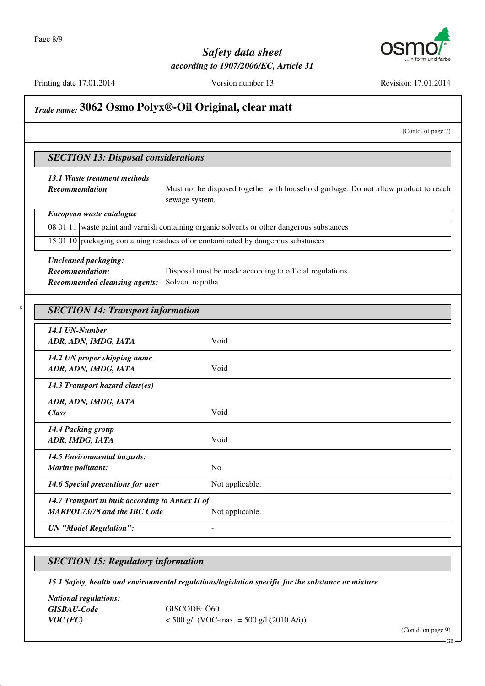

Printing date 17.01.2014 Version number 13 Revision: 17.01.2014

# *Trade name:* **3062 Osmo Polyx®-Oil Original, clear matt**

(Contd. of page 7)

#### *SECTION 13: Disposal considerations*

## *13.1 Waste treatment methods*

**Recommendation** Must not be disposed together with household garbage. Do not allow product to reach sewage system.

|  | 08 01 11 waste paint and varnish containing organic solvents or other dangerous substances                                                                                                                                                                                                                                                                                                                                                                   |  |
|--|--------------------------------------------------------------------------------------------------------------------------------------------------------------------------------------------------------------------------------------------------------------------------------------------------------------------------------------------------------------------------------------------------------------------------------------------------------------|--|
|  |                                                                                                                                                                                                                                                                                                                                                                                                                                                              |  |
|  | $\mathcal{A} = \mathcal{A} + \mathcal{A} + \mathcal{A} + \mathcal{A} + \mathcal{A} + \mathcal{A} + \mathcal{A} + \mathcal{A} + \mathcal{A} + \mathcal{A} + \mathcal{A} + \mathcal{A} + \mathcal{A} + \mathcal{A} + \mathcal{A} + \mathcal{A} + \mathcal{A} + \mathcal{A} + \mathcal{A} + \mathcal{A} + \mathcal{A} + \mathcal{A} + \mathcal{A} + \mathcal{A} + \mathcal{A} + \mathcal{A} + \mathcal{A} + \mathcal{A} + \mathcal{A} + \mathcal{A} + \mathcal$ |  |

15 01 10 packaging containing residues of or contaminated by dangerous substances

*Uncleaned packaging: Recommendation:* Disposal must be made according to official regulations. *Recommended cleansing agents:* Solvent naphtha

| <b>SECTION 14: Transport information</b>        |                 |
|-------------------------------------------------|-----------------|
| 14.1 UN-Number                                  |                 |
| ADR, ADN, IMDG, IATA                            | Void            |
| 14.2 UN proper shipping name                    |                 |
| ADR, ADN, IMDG, IATA                            | Void            |
| 14.3 Transport hazard class(es)                 |                 |
| ADR, ADN, IMDG, IATA                            |                 |
| <b>Class</b>                                    | Void            |
| 14.4 Packing group                              |                 |
| ADR, IMDG, IATA                                 | Void            |
| <b>14.5 Environmental hazards:</b>              |                 |
| Marine pollutant:                               | N <sub>o</sub>  |
| 14.6 Special precautions for user               | Not applicable. |
| 14.7 Transport in bulk according to Annex II of |                 |
| MARPOL73/78 and the IBC Code                    | Not applicable. |
| <b>UN</b> "Model Regulation":                   |                 |

#### *SECTION 15: Regulatory information*

*15.1 Safety, health and environmental regulations/legislation specific for the substance or mixture*

| <i>National regulations:</i> |                                             |  |
|------------------------------|---------------------------------------------|--|
| <b>GISBAU-Code</b>           | GISCODE: 060                                |  |
| $VOC$ (EC)                   | $<$ 500 g/l (VOC-max. = 500 g/l (2010 A/i)) |  |

(Contd. on page 9)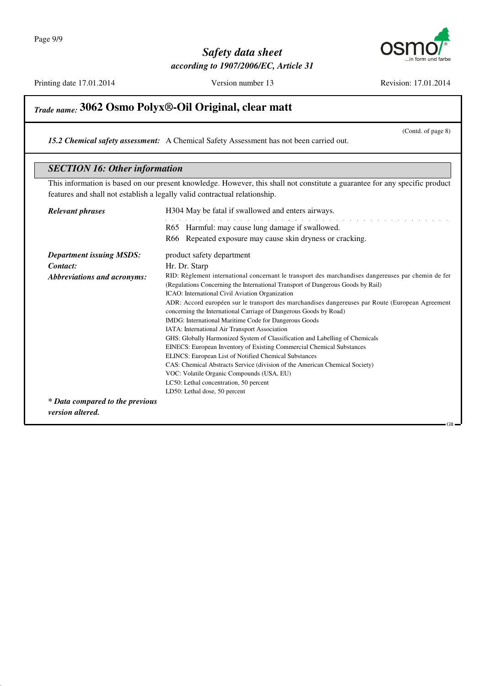

Printing date 17.01.2014 Version number 13 Revision: 17.01.2014

(Contd. of page 8)

### *Trade name:* **3062 Osmo Polyx®-Oil Original, clear matt**

*15.2 Chemical safety assessment:* A Chemical Safety Assessment has not been carried out.

#### *SECTION 16: Other information* This information is based on our present knowledge. However, this shall not constitute a guarantee for any specific product features and shall not establish a legally valid contractual relationship. **Relevant phrases** H304 May be fatal if swallowed and enters airways. a de la caractería de la caractería de la caractería de la caractería R65 Harmful: may cause lung damage if swallowed. R66 Repeated exposure may cause skin dryness or cracking. *Department issuing MSDS:* product safety department *Contact:* Hr. Dr. Starp *Abbreviations and acronyms:* RID: Règlement international concernant le transport des marchandises dangereuses par chemin de fer (Regulations Concerning the International Transport of Dangerous Goods by Rail) ICAO: International Civil Aviation Organization ADR: Accord européen sur le transport des marchandises dangereuses par Route (European Agreement concerning the International Carriage of Dangerous Goods by Road) IMDG: International Maritime Code for Dangerous Goods IATA: International Air Transport Association GHS: Globally Harmonized System of Classification and Labelling of Chemicals EINECS: European Inventory of Existing Commercial Chemical Substances ELINCS: European List of Notified Chemical Substances CAS: Chemical Abstracts Service (division of the American Chemical Society) VOC: Volatile Organic Compounds (USA, EU) LC50: Lethal concentration, 50 percent LD50: Lethal dose, 50 percent *\* Data compared to the previous version altered.* GB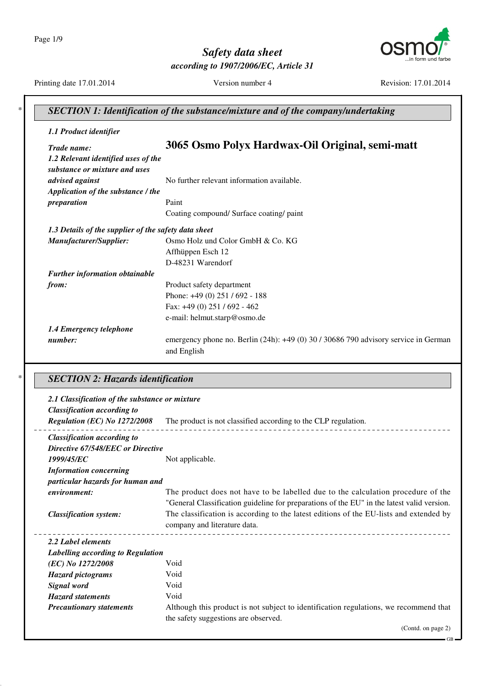Page 1/9

# *Safety data sheet according to 1907/2006/EC, Article 31*



Printing date 17.01.2014 Version number 4 Revision: 17.01.2014

GB

### \* *SECTION 1: Identification of the substance/mixture and of the company/undertaking 1.1 Product identifier Trade name:* **3065 Osmo Polyx Hardwax-Oil Original, semi-matt** *1.2 Relevant identified uses of the substance or mixture and uses advised against* No further relevant information available. *Application of the substance / the preparation* Paint Coating compound/ Surface coating/ paint *1.3 Details of the supplier of the safety data sheet Manufacturer/Supplier:* Osmo Holz und Color GmbH & Co. KG Affhüppen Esch 12 D-48231 Warendorf *Further information obtainable from:* Product safety department Phone: +49 (0) 251 / 692 - 188 Fax: +49 (0) 251 / 692 - 462 e-mail: helmut.starp@osmo.de *1.4 Emergency telephone number*: emergency phone no. Berlin (24h): +49 (0) 30 / 30686 790 advisory service in German and English

#### \* *SECTION 2: Hazards identification*

| 2.1 Classification of the substance or mixture<br><b>Classification according to</b> |                                                                                            |
|--------------------------------------------------------------------------------------|--------------------------------------------------------------------------------------------|
| Regulation (EC) No 1272/2008                                                         | The product is not classified according to the CLP regulation.                             |
| <b>Classification according to</b>                                                   |                                                                                            |
| Directive 67/548/EEC or Directive                                                    |                                                                                            |
| 1999/45/EC                                                                           | Not applicable.                                                                            |
| <b>Information concerning</b>                                                        |                                                                                            |
| particular hazards for human and                                                     |                                                                                            |
| environment:                                                                         | The product does not have to be labelled due to the calculation procedure of the           |
|                                                                                      | "General Classification guideline for preparations of the EU" in the latest valid version. |
| <b>Classification system:</b>                                                        | The classification is according to the latest editions of the EU-lists and extended by     |
|                                                                                      | company and literature data.                                                               |
| 2.2 Label elements                                                                   |                                                                                            |
| Labelling according to Regulation                                                    |                                                                                            |
| (EC) No 1272/2008                                                                    | Void                                                                                       |
| <b>Hazard pictograms</b>                                                             | Void                                                                                       |
| Signal word                                                                          | Void                                                                                       |
| <b>Hazard statements</b>                                                             | Void                                                                                       |
| <b>Precautionary statements</b>                                                      | Although this product is not subject to identification regulations, we recommend that      |
|                                                                                      | the safety suggestions are observed.                                                       |
|                                                                                      | (Contd. on page 2)                                                                         |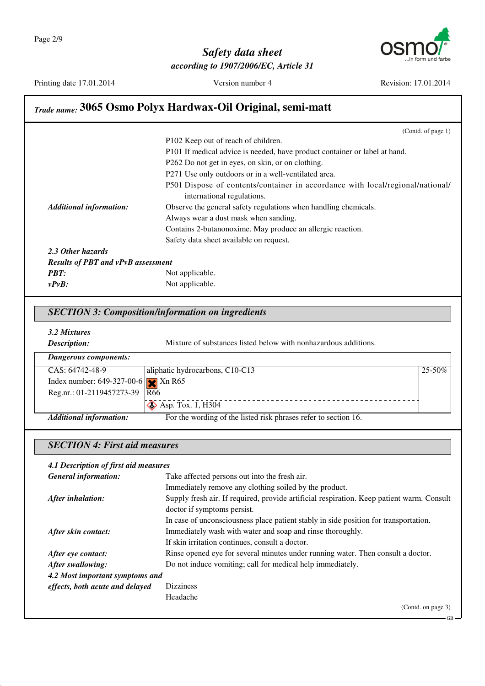

Printing date 17.01.2014 Version number 4 Revision: 17.01.2014

# *Trade name:* **3065 Osmo Polyx Hardwax-Oil Original, semi-matt**

|                                           | (Contd. of page $1$ )                                                          |
|-------------------------------------------|--------------------------------------------------------------------------------|
|                                           | P102 Keep out of reach of children.                                            |
|                                           | P101 If medical advice is needed, have product container or label at hand.     |
|                                           | P262 Do not get in eyes, on skin, or on clothing.                              |
|                                           | P271 Use only outdoors or in a well-ventilated area.                           |
|                                           | P501 Dispose of contents/container in accordance with local/regional/national/ |
|                                           | international regulations.                                                     |
| <b>Additional information:</b>            | Observe the general safety regulations when handling chemicals.                |
|                                           | Always wear a dust mask when sanding.                                          |
|                                           | Contains 2-butanonoxime. May produce an allergic reaction.                     |
|                                           | Safety data sheet available on request.                                        |
| 2.3 Other hazards                         |                                                                                |
| <b>Results of PBT and vPvB assessment</b> |                                                                                |
| PBT:                                      | Not applicable.                                                                |
| $vPvB$ :                                  | Not applicable.                                                                |

#### *SECTION 3: Composition/information on ingredients*

|  | 3.2 Mixtures |
|--|--------------|
|--|--------------|

| Description:                               | Mixture of substances listed below with nonhazardous additions. |             |
|--------------------------------------------|-----------------------------------------------------------------|-------------|
| Dangerous components:                      |                                                                 |             |
| CAS: 64742-48-9                            | aliphatic hydrocarbons, C10-C13                                 | $25 - 50\%$ |
| Index number: $649-327-00-6$ $\chi$ Xn R65 |                                                                 |             |
| Reg.nr.: 01-2119457273-39 $\sqrt{R66}$     |                                                                 |             |
|                                            | $\diamond$ Asp. Tox. 1, H304                                    |             |
| <b>Additional information:</b>             | For the wording of the listed risk phrases refer to section 16. |             |

### *SECTION 4: First aid measures*

| 4.1 Description of first aid measures |                                                                                           |  |
|---------------------------------------|-------------------------------------------------------------------------------------------|--|
| <b>General information:</b>           | Take affected persons out into the fresh air.                                             |  |
|                                       | Immediately remove any clothing soiled by the product.                                    |  |
| After inhalation:                     | Supply fresh air. If required, provide artificial respiration. Keep patient warm. Consult |  |
|                                       | doctor if symptoms persist.                                                               |  |
|                                       | In case of unconsciousness place patient stably in side position for transportation.      |  |
| After skin contact:                   | Immediately wash with water and soap and rinse thoroughly.                                |  |
|                                       | If skin irritation continues, consult a doctor.                                           |  |
| After eye contact:                    | Rinse opened eye for several minutes under running water. Then consult a doctor.          |  |
| After swallowing:                     | Do not induce vomiting; call for medical help immediately.                                |  |
| 4.2 Most important symptoms and       |                                                                                           |  |
| effects, both acute and delayed       | <b>Dizziness</b>                                                                          |  |
|                                       | Headache                                                                                  |  |
|                                       | (Contd. on page 3)                                                                        |  |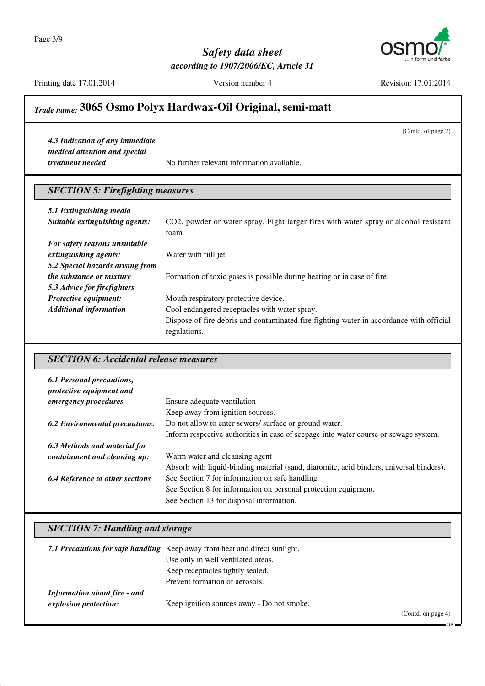Page 3/9

*Safety data sheet*

*according to 1907/2006/EC, Article 31*



Printing date 17.01.2014 Version number 4 Revision: 17.01.2014

(Contd. of page 2)

GB

# *Trade name:* **3065 Osmo Polyx Hardwax-Oil Original, semi-matt**

*4.3 Indication of any immediate medical attention and special*

*treatment needed* No further relevant information available.

### *SECTION 5: Firefighting measures*

| 5.1 Extinguishing media          |                                                                                         |
|----------------------------------|-----------------------------------------------------------------------------------------|
| Suitable extinguishing agents:   | CO2, powder or water spray. Fight larger fires with water spray or alcohol resistant    |
|                                  | foam.                                                                                   |
| For safety reasons unsuitable    |                                                                                         |
| extinguishing agents:            | Water with full jet                                                                     |
| 5.2 Special hazards arising from |                                                                                         |
| <i>the substance or mixture</i>  | Formation of toxic gases is possible during heating or in case of fire.                 |
| 5.3 Advice for firefighters      |                                                                                         |
| <b>Protective equipment:</b>     | Mouth respiratory protective device.                                                    |
| <b>Additional information</b>    | Cool endangered receptacles with water spray.                                           |
|                                  | Dispose of fire debris and contaminated fire fighting water in accordance with official |
|                                  | regulations.                                                                            |

#### *SECTION 6: Accidental release measures*

| 6.1 Personal precautions,<br>protective equipment and |                                                                                         |
|-------------------------------------------------------|-----------------------------------------------------------------------------------------|
| <i>emergency procedures</i>                           | Ensure adequate ventilation                                                             |
|                                                       | Keep away from ignition sources.                                                        |
| <b>6.2 Environmental precautions:</b>                 | Do not allow to enter sewers/ surface or ground water.                                  |
|                                                       | Inform respective authorities in case of seepage into water course or sewage system.    |
| 6.3 Methods and material for                          |                                                                                         |
| containment and cleaning up:                          | Warm water and cleansing agent                                                          |
|                                                       | Absorb with liquid-binding material (sand, diatomite, acid binders, universal binders). |
| <b>6.4 Reference to other sections</b>                | See Section 7 for information on safe handling.                                         |
|                                                       | See Section 8 for information on personal protection equipment.                         |
|                                                       | See Section 13 for disposal information.                                                |

### *SECTION 7: Handling and storage*

|                              | 7.1 Precautions for safe handling Keep away from heat and direct sunlight. |                    |
|------------------------------|----------------------------------------------------------------------------|--------------------|
|                              | Use only in well ventilated areas.                                         |                    |
|                              | Keep receptacles tightly sealed.                                           |                    |
|                              | Prevent formation of aerosols.                                             |                    |
| Information about fire - and |                                                                            |                    |
| explosion protection:        | Keep ignition sources away - Do not smoke.                                 |                    |
|                              |                                                                            | (Contd. on page 4) |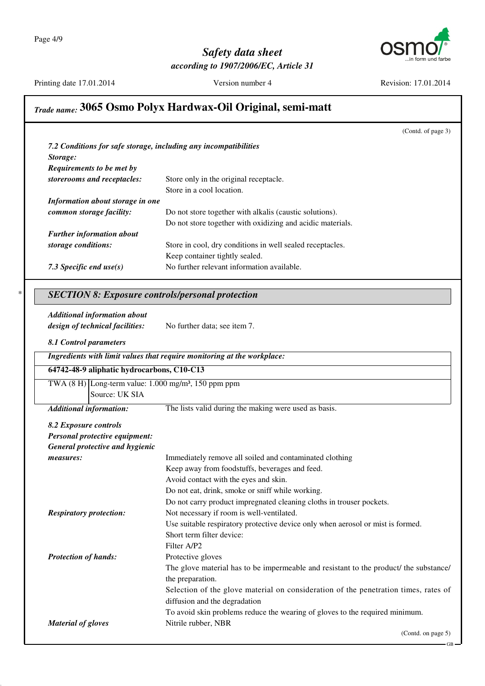

Printing date 17.01.2014 Version number 4 Revision: 17.01.2014

### *Trade name:* **3065 Osmo Polyx Hardwax-Oil Original, semi-matt** (Contd. of page 3) *7.2 Conditions for safe storage, including any incompatibilities Storage: Requirements to be met by storerooms and receptacles:* Store only in the original receptacle. Store in a cool location. *Information about storage in one common storage facility:* Do not store together with alkalis (caustic solutions). Do not store together with oxidizing and acidic materials. *Further information about storage conditions:* Store in cool, dry conditions in well sealed receptacles. Keep container tightly sealed. 7.3 Specific end use(s) No further relevant information available. \* *SECTION 8: Exposure controls/personal protection Additional information about design of technical facilities:* No further data; see item 7. *8.1 Control parameters Ingredients with limit values that require monitoring at the workplace:* **64742-48-9 aliphatic hydrocarbons, C10-C13**  $TWA (8 H)$  Long-term value:  $1.000$  mg/m<sup>3</sup>, 150 ppm ppm Source: UK SIA *Additional information:* The lists valid during the making were used as basis. *8.2 Exposure controls Personal protective equipment: General protective and hygienic measures:* Immediately remove all soiled and contaminated clothing Keep away from foodstuffs, beverages and feed. Avoid contact with the eyes and skin. Do not eat, drink, smoke or sniff while working. Do not carry product impregnated cleaning cloths in trouser pockets. *Respiratory protection:* Not necessary if room is well-ventilated. Use suitable respiratory protective device only when aerosol or mist is formed. Short term filter device: Filter A/P2 *Protection of hands:* Protective gloves The glove material has to be impermeable and resistant to the product/ the substance/ the preparation. Selection of the glove material on consideration of the penetration times, rates of diffusion and the degradation To avoid skin problems reduce the wearing of gloves to the required minimum. *Material of gloves* Nitrile rubber, NBR

(Contd. on page 5)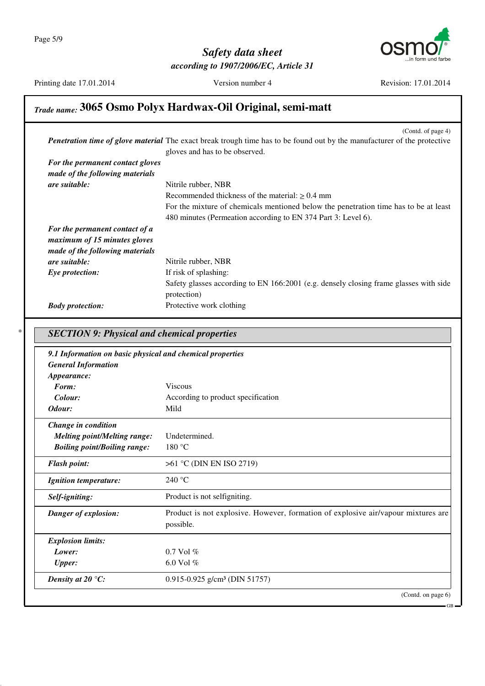

Printing date 17.01.2014 Version number 4 Revision: 17.01.2014

# *Trade name:* **3065 Osmo Polyx Hardwax-Oil Original, semi-matt**

|                                  | (Contd. of page 4)                                                                                                              |
|----------------------------------|---------------------------------------------------------------------------------------------------------------------------------|
|                                  | <b>Penetration time of glove material</b> The exact break trough time has to be found out by the manufacturer of the protective |
|                                  | gloves and has to be observed.                                                                                                  |
| For the permanent contact gloves |                                                                                                                                 |
| made of the following materials  |                                                                                                                                 |
| are suitable:                    | Nitrile rubber, NBR                                                                                                             |
|                                  | Recommended thickness of the material: $> 0.4$ mm                                                                               |
|                                  | For the mixture of chemicals mentioned below the penetration time has to be at least                                            |
|                                  | 480 minutes (Permeation according to EN 374 Part 3: Level 6).                                                                   |
| For the permanent contact of a   |                                                                                                                                 |
| maximum of 15 minutes gloves     |                                                                                                                                 |
| made of the following materials  |                                                                                                                                 |
| are suitable:                    | Nitrile rubber, NBR                                                                                                             |
| Eye protection:                  | If risk of splashing:                                                                                                           |
|                                  | Safety glasses according to EN 166:2001 (e.g. densely closing frame glasses with side<br>protection)                            |
| <b>Body</b> protection:          | Protective work clothing                                                                                                        |
|                                  |                                                                                                                                 |

\* *SECTION 9: Physical and chemical properties*

| 9.1 Information on basic physical and chemical properties |                                                                                                |
|-----------------------------------------------------------|------------------------------------------------------------------------------------------------|
| <b>General Information</b>                                |                                                                                                |
| Appearance:                                               |                                                                                                |
| Form:                                                     | <b>Viscous</b>                                                                                 |
| Colour:                                                   | According to product specification                                                             |
| Odour:                                                    | Mild                                                                                           |
| Change in condition                                       |                                                                                                |
| <b>Melting point/Melting range:</b>                       | Undetermined.                                                                                  |
| <b>Boiling point/Boiling range:</b>                       | 180 °C                                                                                         |
| <b>Flash point:</b>                                       | $>61$ °C (DIN EN ISO 2719)                                                                     |
| <b>Ignition temperature:</b>                              | 240 °C                                                                                         |
| Self-igniting:                                            | Product is not selfigniting.                                                                   |
| Danger of explosion:                                      | Product is not explosive. However, formation of explosive air/vapour mixtures are<br>possible. |
| <b>Explosion limits:</b>                                  |                                                                                                |
| Lower:                                                    | $0.7$ Vol $%$                                                                                  |
| <b>Upper:</b>                                             | 6.0 Vol $%$                                                                                    |
| Density at 20 $\mathrm{C}$ :                              | $0.915 - 0.925$ g/cm <sup>3</sup> (DIN 51757)                                                  |
|                                                           | (Contd. on page 6)                                                                             |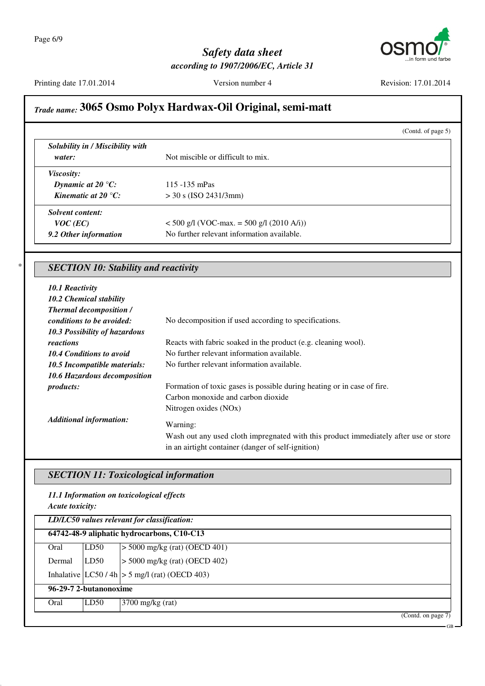

Printing date 17.01.2014 Version number 4 Revision: 17.01.2014

GB

# *Trade name:* **3065 Osmo Polyx Hardwax-Oil Original, semi-matt**

|                                             | (Contd. of page 5)                                                                   |
|---------------------------------------------|--------------------------------------------------------------------------------------|
| Solubility in / Miscibility with            |                                                                                      |
| water:                                      | Not miscible or difficult to mix.                                                    |
| Viscosity:                                  |                                                                                      |
| Dynamic at $20^{\circ}$ C:                  | 115 -135 mPas                                                                        |
| Kinematic at 20 $\degree$ C:                | $>$ 30 s (ISO 2431/3mm)                                                              |
| <b>Solvent content:</b>                     |                                                                                      |
| $VOC$ (EC)                                  | $<$ 500 g/l (VOC-max. = 500 g/l (2010 A/i))                                          |
| 9.2 Other information                       | No further relevant information available.                                           |
| <b>SECTION 10: Stability and reactivity</b> |                                                                                      |
| <b>10.1 Reactivity</b>                      |                                                                                      |
| 10.2 Chemical stability                     |                                                                                      |
| <b>Thermal decomposition /</b>              |                                                                                      |
| conditions to be avoided:                   | No decomposition if used according to specifications.                                |
| 10.3 Possibility of hazardous               |                                                                                      |
| reactions                                   | Reacts with fabric soaked in the product (e.g. cleaning wool).                       |
| <b>10.4 Conditions to avoid</b>             | No further relevant information available.                                           |
| 10.5 Incompatible materials:                | No further relevant information available.                                           |
| 10.6 Hazardous decomposition                |                                                                                      |
| products:                                   | Formation of toxic gases is possible during heating or in case of fire.              |
|                                             | Carbon monoxide and carbon dioxide                                                   |
|                                             | Nitrogen oxides (NOx)                                                                |
| <b>Additional information:</b>              | Warning:                                                                             |
|                                             |                                                                                      |
|                                             | Wash out any used cloth impregnated with this product immediately after use or store |

### *SECTION 11: Toxicological information*

#### *11.1 Information on toxicological effects*

*Acute toxicity:*

|        | LD/LC50 values relevant for classification: |                                                  |  |
|--------|---------------------------------------------|--------------------------------------------------|--|
|        |                                             | 64742-48-9 aliphatic hydrocarbons, C10-C13       |  |
| Oral   | LD50                                        | $\geq$ 5000 mg/kg (rat) (OECD 401)               |  |
| Dermal | LD50                                        | $>$ 5000 mg/kg (rat) (OECD 402)                  |  |
|        |                                             | Inhalative $ LC50/4h  > 5$ mg/l (rat) (OECD 403) |  |
|        | 96-29-7 2-butanonoxime                      |                                                  |  |
| Oral   | LD50                                        | $3700$ mg/kg (rat)                               |  |
|        |                                             | (Contd. on page 7)                               |  |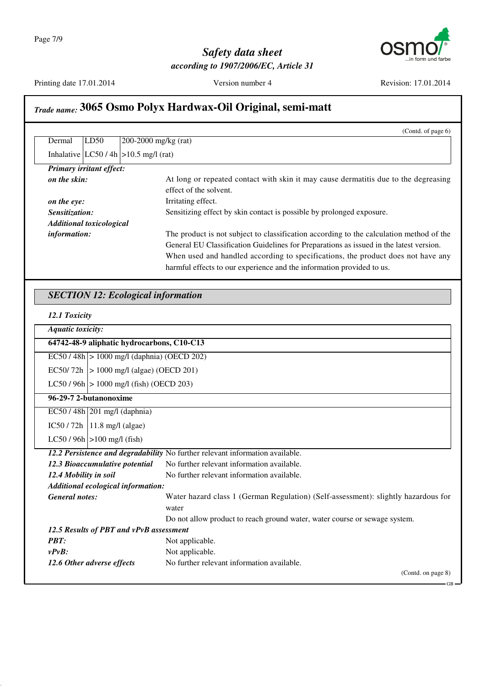

Printing date 17.01.2014 Version number 4 Revision: 17.01.2014

# *Trade name:* **3065 Osmo Polyx Hardwax-Oil Original, semi-matt**

|                                               | (Contd. of page 6)                                                                                                               |
|-----------------------------------------------|----------------------------------------------------------------------------------------------------------------------------------|
| Dermal<br>LD50                                | 200-2000 mg/kg (rat)                                                                                                             |
| Inhalative $ LC50/4h  > 10.5$ mg/l (rat)      |                                                                                                                                  |
| Primary irritant effect:                      |                                                                                                                                  |
| on the skin:                                  | At long or repeated contact with skin it may cause dermatitis due to the degreasing                                              |
|                                               | effect of the solvent.                                                                                                           |
| on the eye:                                   | Irritating effect.                                                                                                               |
| Sensitization:                                | Sensitizing effect by skin contact is possible by prolonged exposure.                                                            |
| <b>Additional toxicological</b>               |                                                                                                                                  |
| information:                                  | The product is not subject to classification according to the calculation method of the                                          |
|                                               | General EU Classification Guidelines for Preparations as issued in the latest version.                                           |
|                                               | When used and handled according to specifications, the product does not have any                                                 |
|                                               | harmful effects to our experience and the information provided to us.                                                            |
| <b>SECTION 12: Ecological information</b>     |                                                                                                                                  |
|                                               |                                                                                                                                  |
| 12.1 Toxicity                                 |                                                                                                                                  |
| <b>Aquatic toxicity:</b>                      |                                                                                                                                  |
| 64742-48-9 aliphatic hydrocarbons, C10-C13    |                                                                                                                                  |
| $EC50 / 48h$ > 1000 mg/l (daphnia) (OECD 202) |                                                                                                                                  |
| EC50/72h   > 1000 mg/l (algae) (OECD 201)     |                                                                                                                                  |
| LC50 / 96h $ > 1000$ mg/l (fish) (OECD 203)   |                                                                                                                                  |
| 96-29-7 2-butanonoxime                        |                                                                                                                                  |
| $EC50/48h$ 201 mg/l (daphnia)                 |                                                                                                                                  |
| $IC50 / 72h$   11.8 mg/l (algae)              |                                                                                                                                  |
| $LC50 / 96h$ > 100 mg/l (fish)                |                                                                                                                                  |
|                                               | 12.2 Persistence and degradability No further relevant information available.                                                    |
| 12.3 Bioaccumulative potential                | No further relevant information available.                                                                                       |
|                                               |                                                                                                                                  |
| 12.4 Mobility in soil                         | No further relevant information available.                                                                                       |
| <b>Additional ecological information:</b>     |                                                                                                                                  |
| <b>General notes:</b>                         |                                                                                                                                  |
|                                               | water                                                                                                                            |
|                                               | Do not allow product to reach ground water, water course or sewage system.                                                       |
| 12.5 Results of PBT and vPvB assessment       |                                                                                                                                  |
| PBT:                                          | Not applicable.                                                                                                                  |
| $v P v B$ :                                   | Not applicable.                                                                                                                  |
| 12.6 Other adverse effects                    | Water hazard class 1 (German Regulation) (Self-assessment): slightly hazardous for<br>No further relevant information available. |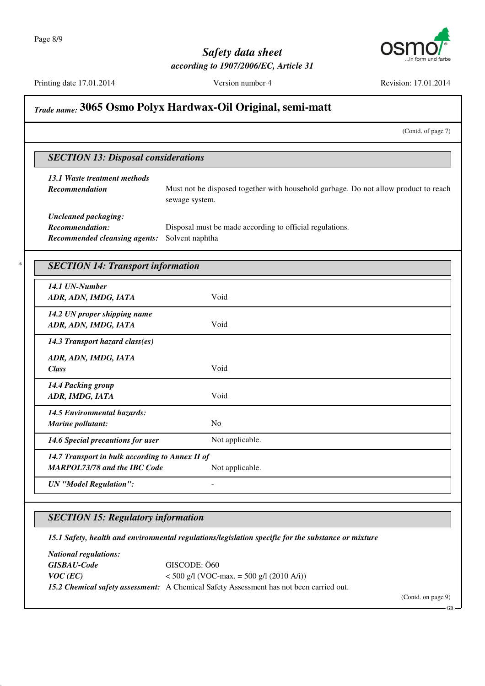

Printing date 17.01.2014 Version number 4 Revision: 17.01.2014

# *Trade name:* **3065 Osmo Polyx Hardwax-Oil Original, semi-matt** (Contd. of page 7) *SECTION 13: Disposal considerations 13.1 Waste treatment methods* **Recommendation** Must not be disposed together with household garbage. Do not allow product to reach sewage system. *Uncleaned packaging: Recommendation:* Disposal must be made according to official regulations. *Recommended cleansing agents:* Solvent naphtha \* *SECTION 14: Transport information 14.1 UN-Number ADR, ADN, IMDG, IATA* Void *14.2 UN proper shipping name ADR, ADN, IMDG, IATA* Void *14.3 Transport hazard class(es) ADR, ADN, IMDG, IATA Class* Void *14.4 Packing group ADR, IMDG, IATA* Void *14.5 Environmental hazards: Marine pollutant:* No 14.6 Special precautions for user Not applicable. *14.7 Transport in bulk according to Annex II of MARPOL73/78 and the IBC Code* Not applicable. *UN "Model Regulation":* -

#### *SECTION 15: Regulatory information*

*15.1 Safety, health and environmental regulations/legislation specific for the substance or mixture*

| <i>National regulations:</i> |                                                                                         |
|------------------------------|-----------------------------------------------------------------------------------------|
| <b>GISBAU-Code</b>           | GISCODE: 060                                                                            |
| $VOC$ (EC)                   | $<$ 500 g/l (VOC-max. = 500 g/l (2010 A/i))                                             |
|                              | 15.2 Chemical safety assessment: A Chemical Safety Assessment has not been carried out. |

(Contd. on page 9)

GB